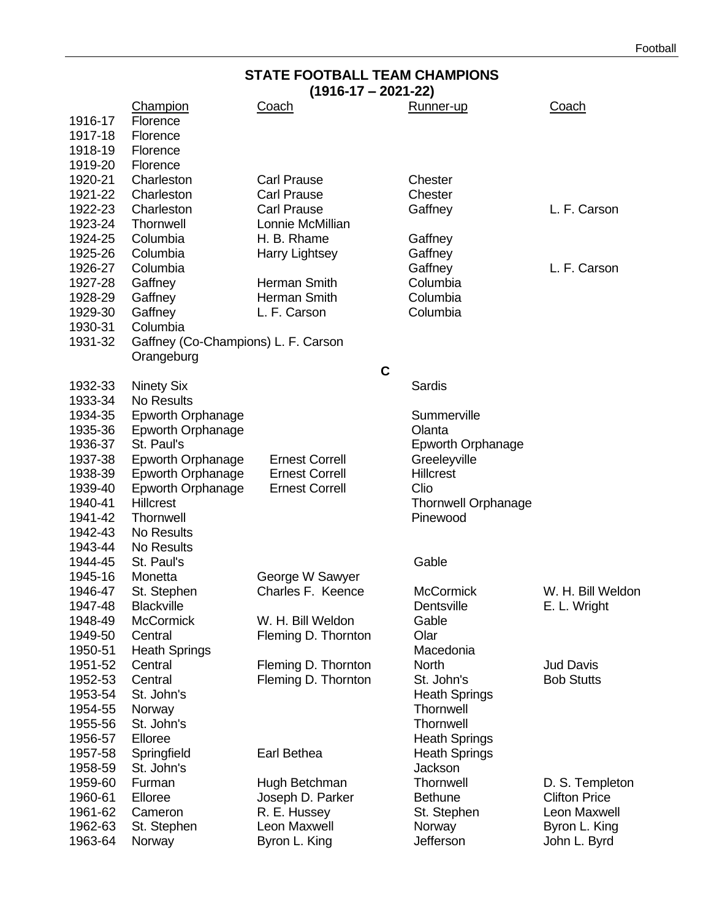# **STATE FOOTBALL TEAM CHAMPIONS**

| $(1916-17 - 2021-22)$ |                                     |                       |             |                            |                      |
|-----------------------|-------------------------------------|-----------------------|-------------|----------------------------|----------------------|
|                       | Champion                            | <u>Coach</u>          |             | Runner-up                  | <u>Coach</u>         |
| 1916-17               | Florence                            |                       |             |                            |                      |
| 1917-18               | Florence                            |                       |             |                            |                      |
| 1918-19               | Florence                            |                       |             |                            |                      |
| 1919-20               | Florence                            |                       |             |                            |                      |
| 1920-21               | Charleston                          | <b>Carl Prause</b>    |             | Chester                    |                      |
| 1921-22               | Charleston                          | <b>Carl Prause</b>    |             | Chester                    |                      |
|                       |                                     | <b>Carl Prause</b>    |             |                            |                      |
| 1922-23               | Charleston                          |                       |             | Gaffney                    | L. F. Carson         |
| 1923-24               | Thornwell                           | Lonnie McMillian      |             |                            |                      |
| 1924-25               | Columbia                            | H. B. Rhame           |             | Gaffney                    |                      |
| 1925-26               | Columbia                            | <b>Harry Lightsey</b> |             | Gaffney                    |                      |
| 1926-27               | Columbia                            |                       |             | Gaffney                    | L. F. Carson         |
| 1927-28               | Gaffney                             | Herman Smith          |             | Columbia                   |                      |
| 1928-29               | Gaffney                             | Herman Smith          |             | Columbia                   |                      |
| 1929-30               | Gaffney                             | L. F. Carson          |             | Columbia                   |                      |
| 1930-31               | Columbia                            |                       |             |                            |                      |
| 1931-32               | Gaffney (Co-Champions) L. F. Carson |                       |             |                            |                      |
|                       | Orangeburg                          |                       |             |                            |                      |
|                       |                                     |                       | $\mathbf C$ |                            |                      |
| 1932-33               | <b>Ninety Six</b>                   |                       |             | Sardis                     |                      |
| 1933-34               | No Results                          |                       |             |                            |                      |
| 1934-35               | <b>Epworth Orphanage</b>            |                       |             | Summerville                |                      |
| 1935-36               | <b>Epworth Orphanage</b>            |                       |             | Olanta                     |                      |
| 1936-37               | St. Paul's                          |                       |             | <b>Epworth Orphanage</b>   |                      |
| 1937-38               | <b>Epworth Orphanage</b>            | <b>Ernest Correll</b> |             | Greeleyville               |                      |
|                       |                                     | <b>Ernest Correll</b> |             | <b>Hillcrest</b>           |                      |
| 1938-39               | <b>Epworth Orphanage</b>            |                       |             |                            |                      |
| 1939-40               | <b>Epworth Orphanage</b>            | <b>Ernest Correll</b> |             | Clio                       |                      |
| 1940-41               | <b>Hillcrest</b>                    |                       |             | <b>Thornwell Orphanage</b> |                      |
| 1941-42               | Thornwell                           |                       |             | Pinewood                   |                      |
| 1942-43               | No Results                          |                       |             |                            |                      |
| 1943-44               | No Results                          |                       |             |                            |                      |
| 1944-45               | St. Paul's                          |                       |             | Gable                      |                      |
| 1945-16               | Monetta                             | George W Sawyer       |             |                            |                      |
| 1946-47               | St. Stephen                         | Charles F. Keence     |             | <b>McCormick</b>           | W. H. Bill Weldon    |
| 1947-48               | <b>Blackville</b>                   |                       |             | Dentsville                 | E. L. Wright         |
| 1948-49               | <b>McCormick</b>                    | W. H. Bill Weldon     |             | Gable                      |                      |
| 1949-50               | Central                             | Fleming D. Thornton   |             | Olar                       |                      |
| 1950-51               | <b>Heath Springs</b>                |                       |             | Macedonia                  |                      |
| 1951-52               | Central                             | Fleming D. Thornton   |             | <b>North</b>               | <b>Jud Davis</b>     |
| 1952-53               | Central                             | Fleming D. Thornton   |             | St. John's                 | <b>Bob Stutts</b>    |
| 1953-54               | St. John's                          |                       |             | <b>Heath Springs</b>       |                      |
| 1954-55               | Norway                              |                       |             | Thornwell                  |                      |
| 1955-56               | St. John's                          |                       |             | Thornwell                  |                      |
|                       |                                     |                       |             | <b>Heath Springs</b>       |                      |
| 1956-57               | Elloree                             |                       |             |                            |                      |
| 1957-58               | Springfield                         | Earl Bethea           |             | <b>Heath Springs</b>       |                      |
| 1958-59               | St. John's                          |                       |             | Jackson                    |                      |
| 1959-60               | Furman                              | Hugh Betchman         |             | Thornwell                  | D. S. Templeton      |
| 1960-61               | Elloree                             | Joseph D. Parker      |             | <b>Bethune</b>             | <b>Clifton Price</b> |
| 1961-62               | Cameron                             | R. E. Hussey          |             | St. Stephen                | Leon Maxwell         |
| 1962-63               | St. Stephen                         | Leon Maxwell          |             | Norway                     | Byron L. King        |
| 1963-64               | Norway                              | Byron L. King         |             | Jefferson                  | John L. Byrd         |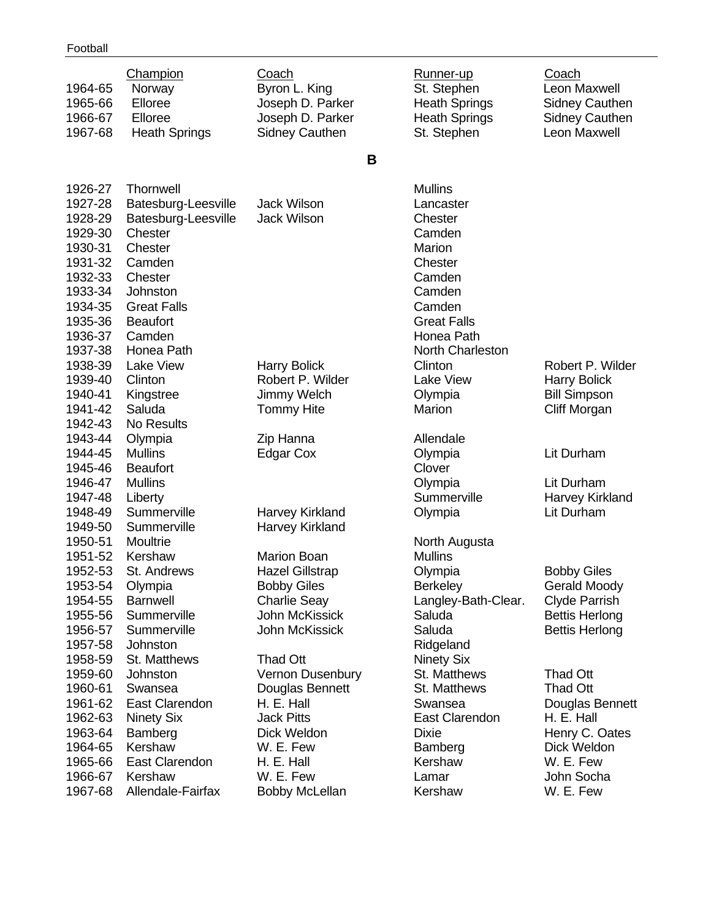| 1964-65<br>1965-66<br>1966-67<br>1967-68                                                        | Champion<br>Norway<br>Elloree<br>Elloree<br><b>Heath Springs</b>                                                                     | Coach<br>Byron L. King<br>Joseph D. Parker<br>Joseph D. Parker<br><b>Sidney Cauthen</b>                                              | Runner-up<br>St. Stephen<br><b>Heath Springs</b><br><b>Heath Springs</b><br>St. Stephen                   | Coach<br>Leon Maxwell<br><b>Sidney Cauthen</b><br><b>Sidney Cauthen</b><br>Leon Maxwell                             |
|-------------------------------------------------------------------------------------------------|--------------------------------------------------------------------------------------------------------------------------------------|--------------------------------------------------------------------------------------------------------------------------------------|-----------------------------------------------------------------------------------------------------------|---------------------------------------------------------------------------------------------------------------------|
|                                                                                                 |                                                                                                                                      | В                                                                                                                                    |                                                                                                           |                                                                                                                     |
| 1926-27<br>1927-28<br>1928-29<br>1929-30<br>1930-31<br>1931-32<br>1932-33<br>1933-34<br>1934-35 | Thornwell<br>Batesburg-Leesville<br>Batesburg-Leesville<br>Chester<br>Chester<br>Camden<br>Chester<br>Johnston<br><b>Great Falls</b> | <b>Jack Wilson</b><br><b>Jack Wilson</b>                                                                                             | <b>Mullins</b><br>Lancaster<br>Chester<br>Camden<br>Marion<br>Chester<br>Camden<br>Camden<br>Camden       |                                                                                                                     |
| 1935-36<br>1936-37<br>1937-38<br>1938-39<br>1939-40                                             | <b>Beaufort</b><br>Camden<br>Honea Path<br><b>Lake View</b><br>Clinton                                                               | <b>Harry Bolick</b><br>Robert P. Wilder                                                                                              | <b>Great Falls</b><br>Honea Path<br>North Charleston<br>Clinton<br><b>Lake View</b>                       | Robert P. Wilder<br><b>Harry Bolick</b>                                                                             |
| 1940-41<br>1941-42<br>1942-43<br>1943-44                                                        | Kingstree<br>Saluda<br><b>No Results</b><br>Olympia                                                                                  | Jimmy Welch<br><b>Tommy Hite</b><br>Zip Hanna                                                                                        | Olympia<br>Marion<br>Allendale                                                                            | <b>Bill Simpson</b><br>Cliff Morgan                                                                                 |
| 1944-45<br>1945-46<br>1946-47<br>1947-48                                                        | <b>Mullins</b><br><b>Beaufort</b><br><b>Mullins</b><br>Liberty                                                                       | <b>Edgar Cox</b>                                                                                                                     | Olympia<br>Clover<br>Olympia<br>Summerville                                                               | Lit Durham<br>Lit Durham<br>Harvey Kirkland                                                                         |
| 1948-49<br>1949-50<br>1950-51                                                                   | Summerville<br>Summerville<br>Moultrie                                                                                               | Harvey Kirkland<br>Harvey Kirkland                                                                                                   | Olympia<br>North Augusta                                                                                  | Lit Durham                                                                                                          |
| 1951-52<br>1952-53<br>1953-54<br>1954-55<br>1955-56<br>1956-57<br>1957-58                       | Kershaw<br>St. Andrews<br>Olympia<br><b>Barnwell</b><br>Summerville<br>Summerville<br>Johnston                                       | <b>Marion Boan</b><br><b>Hazel Gillstrap</b><br><b>Bobby Giles</b><br><b>Charlie Seay</b><br><b>John McKissick</b><br>John McKissick | <b>Mullins</b><br>Olympia<br><b>Berkeley</b><br>Langley-Bath-Clear.<br>Saluda<br>Saluda<br>Ridgeland      | <b>Bobby Giles</b><br><b>Gerald Moody</b><br><b>Clyde Parrish</b><br><b>Bettis Herlong</b><br><b>Bettis Herlong</b> |
| 1958-59<br>1959-60<br>1960-61<br>1961-62<br>1962-63<br>1963-64<br>1964-65                       | St. Matthews<br>Johnston<br>Swansea<br>East Clarendon<br><b>Ninety Six</b><br>Bamberg<br>Kershaw                                     | Thad Ott<br>Vernon Dusenbury<br>Douglas Bennett<br>H. E. Hall<br><b>Jack Pitts</b><br>Dick Weldon<br>W. E. Few                       | <b>Ninety Six</b><br>St. Matthews<br>St. Matthews<br>Swansea<br>East Clarendon<br><b>Dixie</b><br>Bamberg | <b>Thad Ott</b><br><b>Thad Ott</b><br>Douglas Bennett<br>H. E. Hall<br>Henry C. Oates<br>Dick Weldon                |
| 1965-66<br>1966-67<br>1967-68                                                                   | <b>East Clarendon</b><br>Kershaw<br>Allendale-Fairfax                                                                                | H. E. Hall<br>W. E. Few<br><b>Bobby McLellan</b>                                                                                     | Kershaw<br>Lamar<br>Kershaw                                                                               | W. E. Few<br>John Socha<br>W. E. Few                                                                                |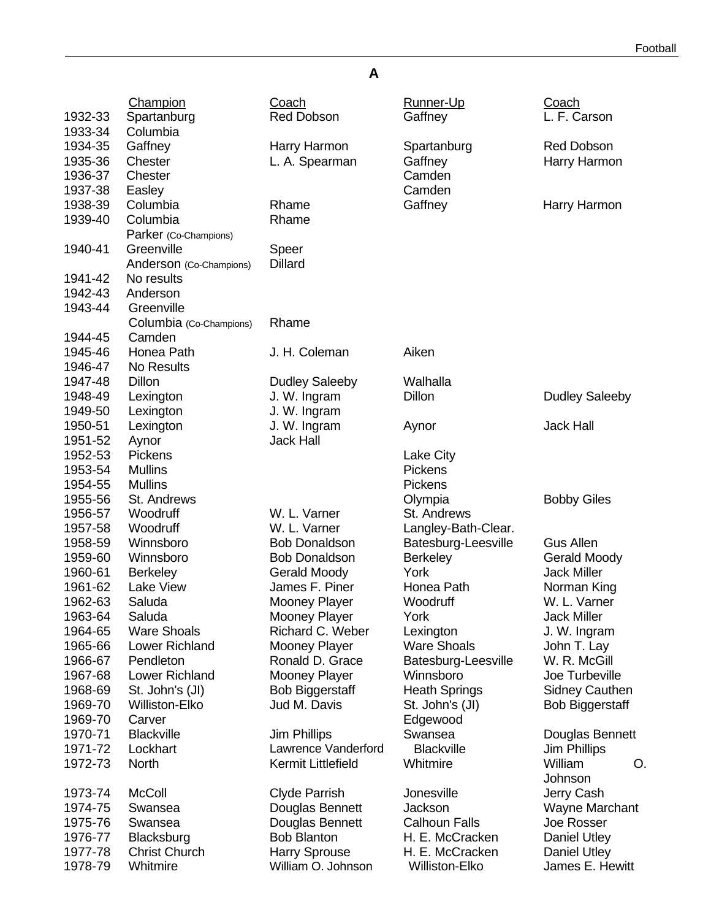#### Champion Coach Runner-Up Coach 1932-33 Spartanburg Red Dobson Gaffney L. F. Carson 1933-34 Columbia 1934-35 Gaffney Harry Harmon Spartanburg Red Dobson 1935-36 Chester **L. A. Spearman** Gaffney Harry Harmon 1936-37 Chester Camden Cambre Cambre Cambre Cambre Cambre Cambre Cambre Cambre Cambre Cambre Cambre Cambre Cam 1937-38 Easley **Camden** 1938-39 Columbia Rhame Gaffney Harry Harmon 1939-40 Columbia Parker (Co-Champions) Rhame 1940-41 Greenville Anderson (Co-Champions) Speer **Dillard** 1941-42 No results 1942-43 Anderson 1943-44 Greenville Columbia (Co-Champions) Rhame 1944-45 Camden 1945-46 Honea Path J. H. Coleman Aiken 1946-47 No Results 1947-48 Dillon Dudley Saleeby Walhalla 1948-49 Lexington J. W. Ingram Dillon Dillon Dudley Saleeby 1949-50 Lexington J. W. Ingram 1950-51 Lexington J. W. Ingram Aynor Jack Hall 1951-52 Aynor Jack Hall 1952-53 Pickens Lake City 1953-54 Mullins **Pickens** 1954-55 Mullins **Pickens** 1955-56 St. Andrews Olympia Bobby Giles 1956-57 Woodruff W. L. Varner St. Andrews 1957-58 Woodruff W. L. Varner Langley-Bath-Clear. 1958-59 Winnsboro Bob Donaldson Batesburg-Leesville Gus Allen 1959-60 Winnsboro Bob Donaldson Berkeley Gerald Moody 1960-61 Berkeley Gerald Moody York Jack Miller 1961-62 Lake View James F. Piner Honea Path Norman King 1962-63 Saluda Mooney Player Woodruff W. L. Varner 1963-64 Saluda Mooney Player York Jack Miller 1964-65 Ware Shoals Richard C. Weber Lexington J. W. Ingram 1965-66 Lower Richland Mooney Player Mare Shoals Uohn T. Lay<br>1966-67 Pendleton Ronald D. Grace Batesburg-Leesville W. R. McGill 1966-67 Pendleton Ronald D. Grace Batesburg-Leesville 1967-68 Lower Richland Mooney Player Winnsboro Joe Turbeville 1968-69 St. John's (JI) Bob Biggerstaff Heath Springs Sidney Cauthen 1969-70 Williston-Elko Jud M. Davis St. John's (JI) Bob Biggerstaff 1969-70 Carver **Edgewood** 1970-71 Blackville **Jim Phillips** Swansea Douglas Bennett 1971-72 Lockhart Lawrence Vanderford Blackville Jim Phillips 1972-73 North Kermit Littlefield Whitmire William O. Johnson 1973-74 McColl Clyde Parrish Jonesville Jerry Cash 1974-75 Swansea Douglas Bennett Jackson Wayne Marchant 1975-76 Swansea Douglas Bennett Calhoun Falls Joe Rosser 1976-77 Blacksburg Bob Blanton H. E. McCracken Daniel Utley 1977-78 Christ Church Harry Sprouse H. E. McCracken Daniel Utley 1978-79 Whitmire William O. Johnson Williston-Elko James E. Hewitt

**A**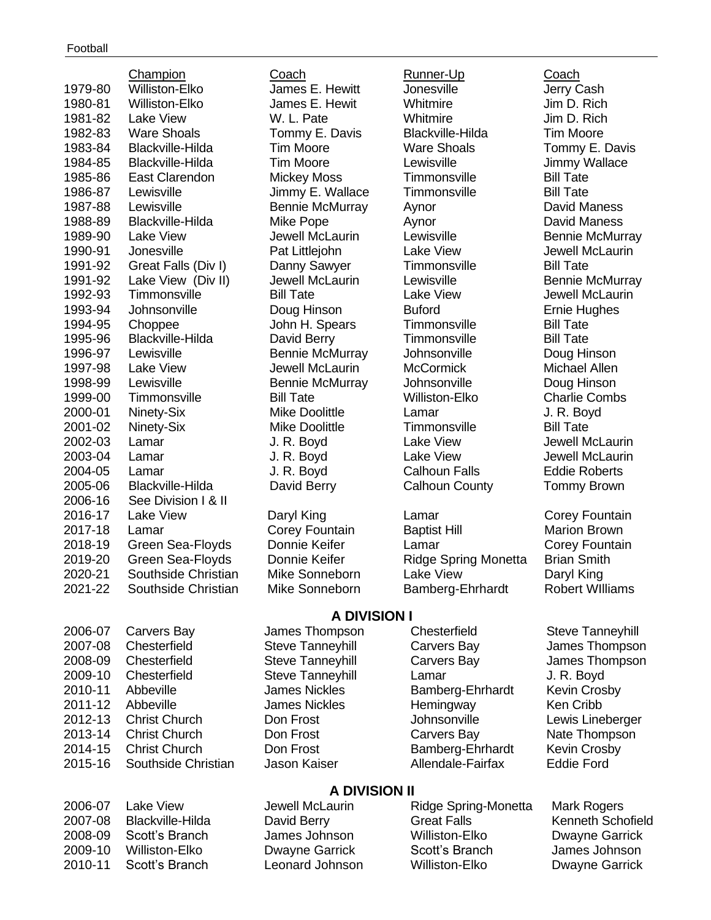|                    |                                                    | <b>A DIVISION I</b>                        |                                  |                                           |
|--------------------|----------------------------------------------------|--------------------------------------------|----------------------------------|-------------------------------------------|
| 2021-22            | Southside Christian                                | Mike Sonneborn                             | Bamberg-Ehrhardt                 | <b>Robert Williams</b>                    |
| 2020-21            | Southside Christian                                | Mike Sonneborn                             | <b>Lake View</b>                 | Daryl King                                |
| 2019-20            | Green Sea-Floyds                                   | Donnie Keifer                              | <b>Ridge Spring Monetta</b>      | <b>Brian Smith</b>                        |
| 2018-19            | Green Sea-Floyds                                   | Donnie Keifer                              | Lamar                            | Corey Fountain                            |
| 2017-18            | Lamar                                              | Corey Fountain                             | <b>Baptist Hill</b>              | <b>Marion Brown</b>                       |
| 2016-17            | <b>Lake View</b>                                   | Daryl King                                 | Lamar                            | Corey Fountain                            |
| 2006-16            | See Division I & II                                |                                            |                                  |                                           |
| 2005-06            | <b>Blackville-Hilda</b>                            | David Berry                                | <b>Calhoun County</b>            | <b>Tommy Brown</b>                        |
| 2004-05            | Lamar                                              | J. R. Boyd                                 | <b>Calhoun Falls</b>             | <b>Eddie Roberts</b>                      |
| 2003-04            | Lamar                                              | J. R. Boyd                                 | <b>Lake View</b>                 | Jewell McLaurin                           |
| 2002-03            | Lamar                                              | J. R. Boyd                                 | <b>Lake View</b>                 | Jewell McLaurin                           |
| 2001-02            | Ninety-Six                                         | <b>Mike Doolittle</b>                      | Timmonsville                     | <b>Bill Tate</b>                          |
| 2000-01            | Ninety-Six                                         | Mike Doolittle                             | Lamar                            | J. R. Boyd                                |
| 1999-00            | Timmonsville                                       | <b>Bill Tate</b>                           | <b>Williston-Elko</b>            | <b>Charlie Combs</b>                      |
| 1998-99            | Lewisville                                         | <b>Bennie McMurray</b>                     | Johnsonville                     | Doug Hinson                               |
| 1997-98            | <b>Lake View</b>                                   | Jewell McLaurin                            | <b>McCormick</b>                 | Michael Allen                             |
| 1996-97            | Lewisville                                         | <b>Bennie McMurray</b>                     | Johnsonville                     | Doug Hinson                               |
| 1995-96            | <b>Blackville-Hilda</b>                            | David Berry                                | Timmonsville                     | <b>Bill Tate</b>                          |
| 1994-95            | Choppee                                            | John H. Spears                             | Timmonsville                     | <b>Bill Tate</b>                          |
| 1993-94            | Johnsonville                                       | Doug Hinson                                | <b>Buford</b>                    | <b>Ernie Hughes</b>                       |
| 1992-93            | Timmonsville                                       | <b>Bill Tate</b>                           | <b>Lake View</b>                 | <b>Jewell McLaurin</b>                    |
| 1991-92<br>1991-92 | Great Falls (Div I)<br>Lake View (Div II)          | Danny Sawyer<br>Jewell McLaurin            | Timmonsville<br>Lewisville       | <b>Bennie McMurray</b>                    |
|                    |                                                    | Pat Littlejohn                             |                                  | <b>Bill Tate</b>                          |
| 1990-91            | Jonesville                                         |                                            | <b>Lake View</b>                 | <b>Bennie McMurray</b><br>Jewell McLaurin |
| 1989-90            | <b>Lake View</b>                                   | Jewell McLaurin                            | Lewisville                       |                                           |
| 1988-89            | <b>Blackville-Hilda</b>                            | Mike Pope                                  | Aynor<br>Aynor                   | <b>David Maness</b>                       |
| 1987-88            | Lewisville                                         | Jimmy E. Wallace<br><b>Bennie McMurray</b> |                                  | <b>David Maness</b>                       |
| 1986-87            | Lewisville                                         | <b>Mickey Moss</b>                         | Timmonsville<br>Timmonsville     | <b>Bill Tate</b>                          |
| 1985-86            | East Clarendon                                     |                                            |                                  | Jimmy Wallace<br><b>Bill Tate</b>         |
| 1983-84<br>1984-85 | <b>Blackville-Hilda</b><br><b>Blackville-Hilda</b> | <b>Tim Moore</b><br><b>Tim Moore</b>       | <b>Ware Shoals</b><br>Lewisville | Tommy E. Davis                            |
| 1982-83            | <b>Ware Shoals</b>                                 | Tommy E. Davis                             | <b>Blackville-Hilda</b>          | <b>Tim Moore</b>                          |
| 1981-82            | <b>Lake View</b>                                   | W. L. Pate                                 | Whitmire                         | Jim D. Rich                               |
| 1980-81            | <b>Williston-Elko</b>                              | James E. Hewit                             | Whitmire                         | Jim D. Rich                               |
| 1979-80            | <b>Williston-Elko</b>                              | James E. Hewitt                            | Jonesville                       | Jerry Cash                                |
|                    |                                                    |                                            |                                  |                                           |
|                    | Champion                                           | Coach                                      | Runner-Up                        | Coach                                     |

2006-07 Carvers Bay James Thompson Chesterfield Steve Tanneyhill 2007-08 Chesterfield Steve Tanneyhill Carvers Bay James Thompson 2008-09 Chesterfield Steve Tanneyhill Carvers Bay James Thompson 2009-10 Chesterfield Steve Tanneyhill Lamar J. R. Boyd 2010-11 Abbeville **James Nickles** Bamberg-Ehrhardt Kevin Crosby 2011-12 Abbeville James Nickles Hemingway Ken Cribb 2012-13 Christ Church Don Frost Johnsonville Lewis Lineberger 2013-14 Christ Church Don Frost Carvers Bay Nate Thompson 2014-15 Christ Church Don Frost Bamberg-Ehrhardt Kevin Crosby 2015-16 Southside Christian Jason Kaiser Allendale-Fairfax Eddie Ford

### **A DIVISION II**

2006-07 Lake View Jewell McLaurin Ridge Spring-Monetta Mark Rogers 2007-08 Blackville-Hilda David Berry Great Falls Kenneth Schofield 2008-09 Scott's Branch James Johnson Williston-Elko Dwayne Garrick 2009-10 Williston-Elko Dwayne Garrick Scott's Branch James Johnson 2010-11 Scott's Branch Leonard Johnson Williston-Elko Dwayne Garrick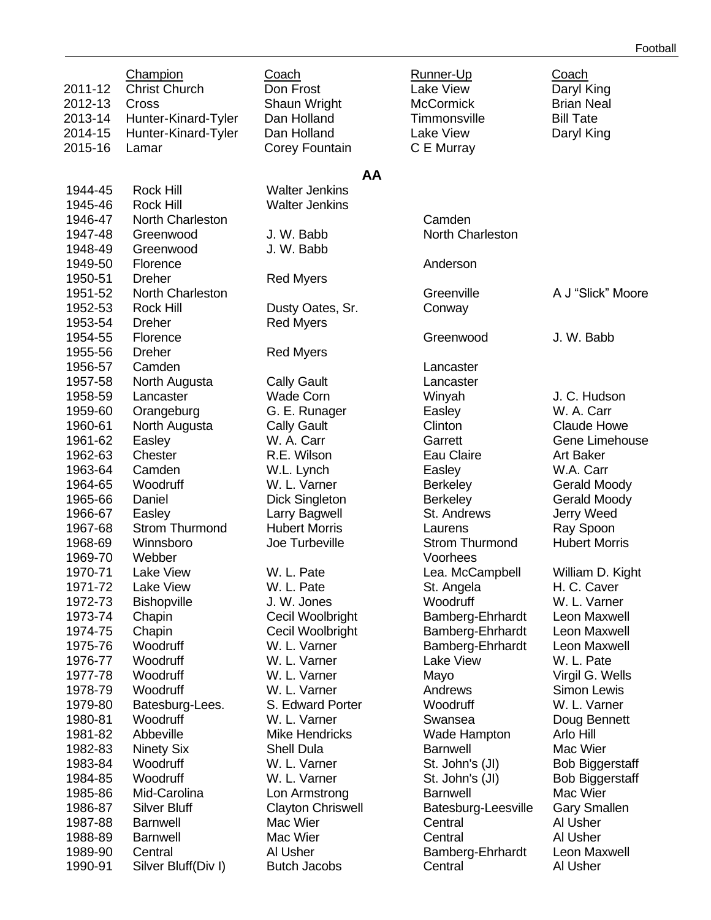|         | Champion              | Coach                    | Runner-Up             | Coach                  |
|---------|-----------------------|--------------------------|-----------------------|------------------------|
| 2011-12 | <b>Christ Church</b>  | Don Frost                | <b>Lake View</b>      | Daryl King             |
| 2012-13 | Cross                 | Shaun Wright             | <b>McCormick</b>      | <b>Brian Neal</b>      |
| 2013-14 | Hunter-Kinard-Tyler   | Dan Holland              | Timmonsville          | <b>Bill Tate</b>       |
| 2014-15 | Hunter-Kinard-Tyler   | Dan Holland              | <b>Lake View</b>      | Daryl King             |
| 2015-16 | Lamar                 | Corey Fountain           | C E Murray            |                        |
|         |                       | AA                       |                       |                        |
| 1944-45 | Rock Hill             | <b>Walter Jenkins</b>    |                       |                        |
| 1945-46 | <b>Rock Hill</b>      | <b>Walter Jenkins</b>    |                       |                        |
| 1946-47 | North Charleston      |                          | Camden                |                        |
| 1947-48 | Greenwood             | J. W. Babb               | North Charleston      |                        |
| 1948-49 | Greenwood             | J. W. Babb               |                       |                        |
| 1949-50 | Florence              |                          | Anderson              |                        |
| 1950-51 | <b>Dreher</b>         | <b>Red Myers</b>         |                       |                        |
| 1951-52 | North Charleston      |                          | Greenville            | A J "Slick" Moore      |
| 1952-53 | <b>Rock Hill</b>      | Dusty Oates, Sr.         | Conway                |                        |
| 1953-54 | <b>Dreher</b>         | <b>Red Myers</b>         |                       |                        |
| 1954-55 | Florence              |                          | Greenwood             | J. W. Babb             |
| 1955-56 | <b>Dreher</b>         | <b>Red Myers</b>         |                       |                        |
| 1956-57 | Camden                |                          | Lancaster             |                        |
| 1957-58 | North Augusta         | <b>Cally Gault</b>       | Lancaster             |                        |
| 1958-59 | Lancaster             | <b>Wade Corn</b>         | Winyah                | J. C. Hudson           |
| 1959-60 | Orangeburg            | G. E. Runager            | Easley                | W. A. Carr             |
| 1960-61 | North Augusta         | <b>Cally Gault</b>       | Clinton               | <b>Claude Howe</b>     |
| 1961-62 | Easley                | W. A. Carr               | Garrett               | Gene Limehouse         |
| 1962-63 | Chester               | R.E. Wilson              | Eau Claire            | <b>Art Baker</b>       |
| 1963-64 | Camden                | W.L. Lynch               | Easley                | W.A. Carr              |
| 1964-65 | Woodruff              | W. L. Varner             | <b>Berkeley</b>       | <b>Gerald Moody</b>    |
| 1965-66 | Daniel                | <b>Dick Singleton</b>    | <b>Berkeley</b>       | <b>Gerald Moody</b>    |
| 1966-67 | Easley                | Larry Bagwell            | St. Andrews           | Jerry Weed             |
| 1967-68 | <b>Strom Thurmond</b> | <b>Hubert Morris</b>     | Laurens               | Ray Spoon              |
| 1968-69 | Winnsboro             | Joe Turbeville           | <b>Strom Thurmond</b> | <b>Hubert Morris</b>   |
| 1969-70 | Webber                |                          | Voorhees              |                        |
| 1970-71 | <b>Lake View</b>      | W. L. Pate               | Lea. McCampbell       | William D. Kight       |
| 1971-72 | Lake View             | W. L. Pate               | St. Angela            | H. C. Caver            |
| 1972-73 | <b>Bishopville</b>    | J. W. Jones              | Woodruff              | W. L. Varner           |
| 1973-74 | Chapin                | Cecil Woolbright         | Bamberg-Ehrhardt      | Leon Maxwell           |
| 1974-75 | Chapin                | Cecil Woolbright         | Bamberg-Ehrhardt      | Leon Maxwell           |
| 1975-76 | Woodruff              | W. L. Varner             | Bamberg-Ehrhardt      | Leon Maxwell           |
| 1976-77 | Woodruff              | W. L. Varner             | Lake View             | W. L. Pate             |
| 1977-78 | Woodruff              | W. L. Varner             | Mayo                  | Virgil G. Wells        |
| 1978-79 | Woodruff              | W. L. Varner             | Andrews               | Simon Lewis            |
| 1979-80 | Batesburg-Lees.       | S. Edward Porter         | Woodruff              | W. L. Varner           |
| 1980-81 | Woodruff              | W. L. Varner             | Swansea               | Doug Bennett           |
| 1981-82 | Abbeville             | <b>Mike Hendricks</b>    | Wade Hampton          | Arlo Hill              |
| 1982-83 | <b>Ninety Six</b>     | <b>Shell Dula</b>        | <b>Barnwell</b>       | Mac Wier               |
| 1983-84 | Woodruff              | W. L. Varner             | St. John's (JI)       | <b>Bob Biggerstaff</b> |
| 1984-85 | Woodruff              | W. L. Varner             | St. John's (JI)       | <b>Bob Biggerstaff</b> |
| 1985-86 | Mid-Carolina          | Lon Armstrong            | <b>Barnwell</b>       | Mac Wier               |
| 1986-87 | <b>Silver Bluff</b>   | <b>Clayton Chriswell</b> | Batesburg-Leesville   | <b>Gary Smallen</b>    |
| 1987-88 | <b>Barnwell</b>       | Mac Wier                 | Central               | Al Usher               |
| 1988-89 | <b>Barnwell</b>       | Mac Wier                 | Central               | Al Usher               |
| 1989-90 | Central               | Al Usher                 | Bamberg-Ehrhardt      | Leon Maxwell           |
| 1990-91 | Silver Bluff(Div I)   | <b>Butch Jacobs</b>      | Central               | Al Usher               |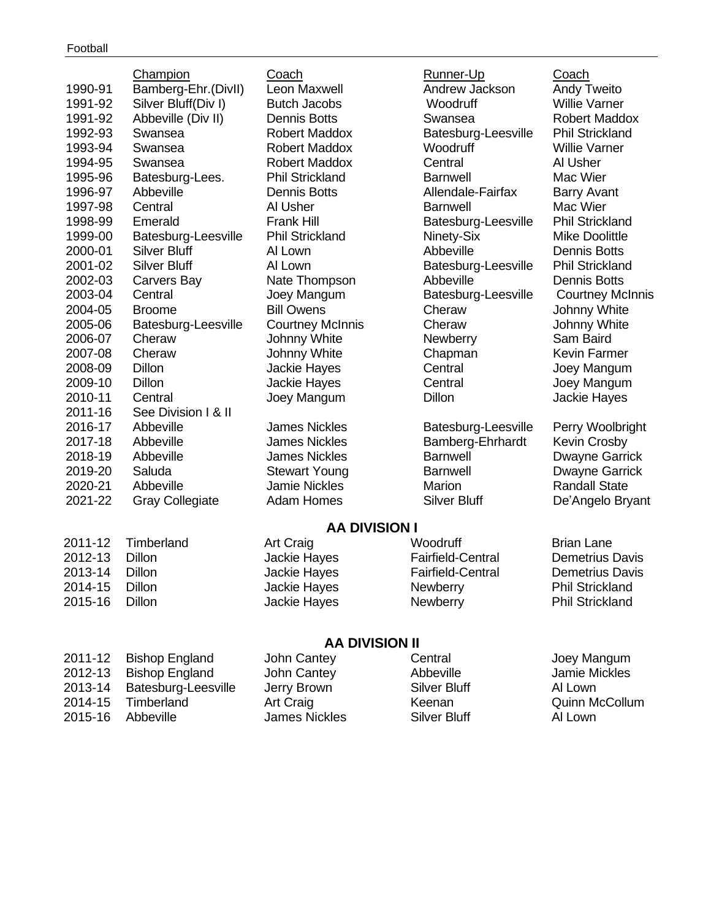|         | Champion               | Coach                   | Runner-Up                | Coach                   |
|---------|------------------------|-------------------------|--------------------------|-------------------------|
| 1990-91 | Bamberg-Ehr.(DivII)    | Leon Maxwell            | Andrew Jackson           | <b>Andy Tweito</b>      |
| 1991-92 | Silver Bluff(Div I)    | <b>Butch Jacobs</b>     | Woodruff                 | <b>Willie Varner</b>    |
| 1991-92 | Abbeville (Div II)     | <b>Dennis Botts</b>     | Swansea                  | <b>Robert Maddox</b>    |
| 1992-93 | Swansea                | <b>Robert Maddox</b>    | Batesburg-Leesville      | <b>Phil Strickland</b>  |
| 1993-94 | Swansea                | <b>Robert Maddox</b>    | Woodruff                 | <b>Willie Varner</b>    |
| 1994-95 | Swansea                | <b>Robert Maddox</b>    | Central                  | Al Usher                |
| 1995-96 | Batesburg-Lees.        | <b>Phil Strickland</b>  | <b>Barnwell</b>          | Mac Wier                |
| 1996-97 | Abbeville              | <b>Dennis Botts</b>     | Allendale-Fairfax        | <b>Barry Avant</b>      |
| 1997-98 | Central                | Al Usher                | <b>Barnwell</b>          | Mac Wier                |
| 1998-99 | Emerald                | <b>Frank Hill</b>       | Batesburg-Leesville      | <b>Phil Strickland</b>  |
| 1999-00 | Batesburg-Leesville    | <b>Phil Strickland</b>  | Ninety-Six               | <b>Mike Doolittle</b>   |
| 2000-01 | <b>Silver Bluff</b>    | Al Lown                 | Abbeville                | <b>Dennis Botts</b>     |
| 2001-02 | <b>Silver Bluff</b>    | Al Lown                 | Batesburg-Leesville      | <b>Phil Strickland</b>  |
| 2002-03 | Carvers Bay            | Nate Thompson           | Abbeville                | <b>Dennis Botts</b>     |
| 2003-04 | Central                | Joey Mangum             | Batesburg-Leesville      | <b>Courtney McInnis</b> |
| 2004-05 | <b>Broome</b>          | <b>Bill Owens</b>       | Cheraw                   | Johnny White            |
| 2005-06 | Batesburg-Leesville    | <b>Courtney McInnis</b> | Cheraw                   | Johnny White            |
| 2006-07 | Cheraw                 | Johnny White            | <b>Newberry</b>          | Sam Baird               |
| 2007-08 | Cheraw                 | Johnny White            | Chapman                  | Kevin Farmer            |
| 2008-09 | Dillon                 | Jackie Hayes            | Central                  | Joey Mangum             |
| 2009-10 | Dillon                 | <b>Jackie Hayes</b>     | Central                  | Joey Mangum             |
| 2010-11 | Central                | Joey Mangum             | <b>Dillon</b>            | Jackie Hayes            |
| 2011-16 | See Division I & II    |                         |                          |                         |
| 2016-17 | Abbeville              | <b>James Nickles</b>    | Batesburg-Leesville      | Perry Woolbright        |
| 2017-18 | Abbeville              | <b>James Nickles</b>    | Bamberg-Ehrhardt         | <b>Kevin Crosby</b>     |
| 2018-19 | Abbeville              | <b>James Nickles</b>    | <b>Barnwell</b>          | <b>Dwayne Garrick</b>   |
| 2019-20 | Saluda                 | <b>Stewart Young</b>    | <b>Barnwell</b>          | <b>Dwayne Garrick</b>   |
| 2020-21 | Abbeville              | <b>Jamie Nickles</b>    | Marion                   | <b>Randall State</b>    |
| 2021-22 | <b>Gray Collegiate</b> | <b>Adam Homes</b>       | <b>Silver Bluff</b>      | De'Angelo Bryant        |
|         |                        |                         |                          |                         |
|         |                        | <b>AA DIVISION I</b>    |                          |                         |
| 2011-12 | Timberland             | Art Craig               | Woodruff                 | <b>Brian Lane</b>       |
| 2012-13 | Dillon                 | Jackie Hayes            | <b>Fairfield-Central</b> | <b>Demetrius Davis</b>  |
| 2013-14 | Dillon                 | Jackie Hayes            | <b>Fairfield-Central</b> | <b>Demetrius Davis</b>  |
| 2014-15 | Dillon                 | Jackie Hayes            | Newberry                 | <b>Phil Strickland</b>  |
| 2015-16 | Dillon                 | Jackie Hayes            | Newberry                 | <b>Phil Strickland</b>  |

# **AA DIVISION II**

|         | 2011-12 Bishop England      | John Cantey   | Central      | Joey Mangum           |
|---------|-----------------------------|---------------|--------------|-----------------------|
|         | 2012-13 Bishop England      | John Cantey   | Abbeville    | Jamie Mickles         |
|         | 2013-14 Batesburg-Leesville | Jerry Brown   | Silver Bluff | Al Lown               |
| 2014-15 | Timberland                  | Art Craig     | Keenan       | <b>Quinn McCollum</b> |
|         | 2015-16 Abbeville           | James Nickles | Silver Bluff | Al Lown               |
|         |                             |               |              |                       |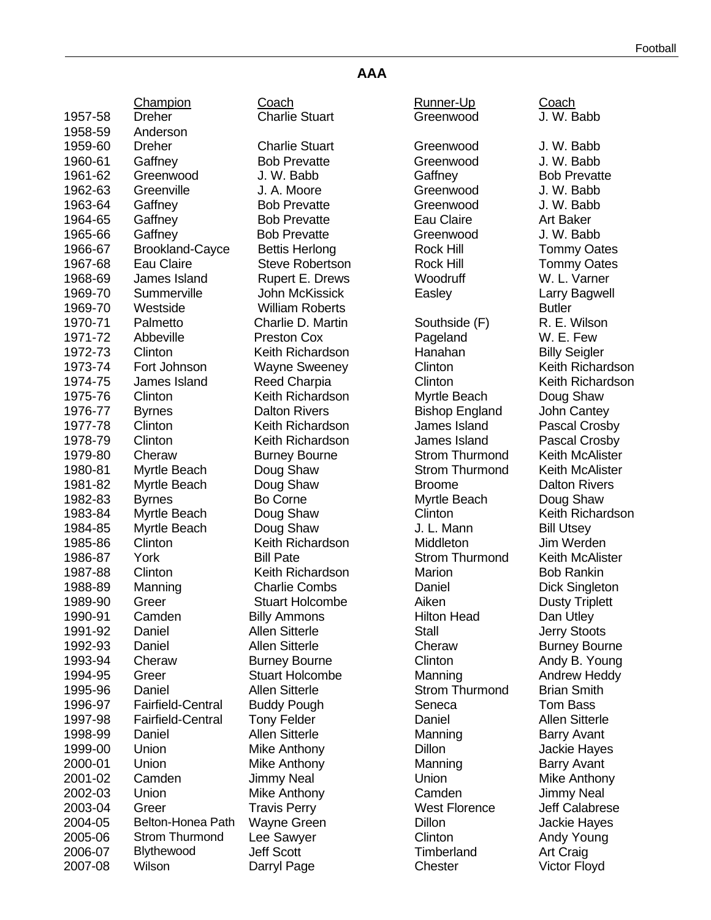| Football |  |
|----------|--|
|----------|--|

#### **AAA**

| <b>Charlie Stuart</b><br>1957-58<br><b>Dreher</b><br>Greenwood<br>1958-59<br>Anderson<br>1959-60<br><b>Dreher</b><br><b>Charlie Stuart</b><br>Greenwood<br>1960-61<br>Gaffney<br><b>Bob Prevatte</b><br>Greenwood<br>Gaffney<br>1961-62<br>Greenwood<br>J. W. Babb<br>J. A. Moore<br>1962-63<br>Greenville<br>Greenwood<br>1963-64<br>Gaffney<br><b>Bob Prevatte</b><br>Greenwood<br>1964-65<br>Gaffney<br><b>Bob Prevatte</b><br>Eau Claire<br>Gaffney<br>1965-66<br><b>Bob Prevatte</b><br>Greenwood<br>1966-67<br><b>Brookland-Cayce</b><br><b>Rock Hill</b><br><b>Bettis Herlong</b><br>1967-68<br>Eau Claire<br><b>Steve Robertson</b><br><b>Rock Hill</b><br>Rupert E. Drews<br>1968-69<br>James Island<br>Woodruff<br>1969-70<br>Summerville<br>John McKissick<br>Easley<br><b>William Roberts</b><br>1969-70<br>Westside<br><b>Butler</b><br>1970-71<br>Palmetto<br>Charlie D. Martin<br>Southside (F)<br>1971-72<br>Abbeville<br><b>Preston Cox</b><br>Pageland<br>Keith Richardson<br>Hanahan<br>1972-73<br>Clinton<br>1973-74<br>Fort Johnson<br><b>Wayne Sweeney</b><br>Clinton<br>James Island<br>Clinton<br>1974-75<br><b>Reed Charpia</b><br>1975-76<br>Keith Richardson<br>Clinton<br>Myrtle Beach<br><b>Dalton Rivers</b><br>1976-77<br><b>Bishop England</b><br><b>Byrnes</b><br>James Island<br>1977-78<br>Clinton<br>Keith Richardson<br>Clinton<br>Keith Richardson<br>1978-79<br>James Island<br><b>Strom Thurmond</b><br>1979-80<br>Cheraw<br><b>Burney Bourne</b><br><b>Strom Thurmond</b><br>1980-81<br>Myrtle Beach<br>Doug Shaw | J. W. Babb<br>J. W. Babb |
|------------------------------------------------------------------------------------------------------------------------------------------------------------------------------------------------------------------------------------------------------------------------------------------------------------------------------------------------------------------------------------------------------------------------------------------------------------------------------------------------------------------------------------------------------------------------------------------------------------------------------------------------------------------------------------------------------------------------------------------------------------------------------------------------------------------------------------------------------------------------------------------------------------------------------------------------------------------------------------------------------------------------------------------------------------------------------------------------------------------------------------------------------------------------------------------------------------------------------------------------------------------------------------------------------------------------------------------------------------------------------------------------------------------------------------------------------------------------------------------------------------------------------------------------------------|--------------------------|
|                                                                                                                                                                                                                                                                                                                                                                                                                                                                                                                                                                                                                                                                                                                                                                                                                                                                                                                                                                                                                                                                                                                                                                                                                                                                                                                                                                                                                                                                                                                                                            |                          |
|                                                                                                                                                                                                                                                                                                                                                                                                                                                                                                                                                                                                                                                                                                                                                                                                                                                                                                                                                                                                                                                                                                                                                                                                                                                                                                                                                                                                                                                                                                                                                            |                          |
|                                                                                                                                                                                                                                                                                                                                                                                                                                                                                                                                                                                                                                                                                                                                                                                                                                                                                                                                                                                                                                                                                                                                                                                                                                                                                                                                                                                                                                                                                                                                                            |                          |
|                                                                                                                                                                                                                                                                                                                                                                                                                                                                                                                                                                                                                                                                                                                                                                                                                                                                                                                                                                                                                                                                                                                                                                                                                                                                                                                                                                                                                                                                                                                                                            | J. W. Babb               |
|                                                                                                                                                                                                                                                                                                                                                                                                                                                                                                                                                                                                                                                                                                                                                                                                                                                                                                                                                                                                                                                                                                                                                                                                                                                                                                                                                                                                                                                                                                                                                            | <b>Bob Prevat</b>        |
|                                                                                                                                                                                                                                                                                                                                                                                                                                                                                                                                                                                                                                                                                                                                                                                                                                                                                                                                                                                                                                                                                                                                                                                                                                                                                                                                                                                                                                                                                                                                                            | J. W. Babb               |
|                                                                                                                                                                                                                                                                                                                                                                                                                                                                                                                                                                                                                                                                                                                                                                                                                                                                                                                                                                                                                                                                                                                                                                                                                                                                                                                                                                                                                                                                                                                                                            | J. W. Babb               |
|                                                                                                                                                                                                                                                                                                                                                                                                                                                                                                                                                                                                                                                                                                                                                                                                                                                                                                                                                                                                                                                                                                                                                                                                                                                                                                                                                                                                                                                                                                                                                            | Art Baker                |
|                                                                                                                                                                                                                                                                                                                                                                                                                                                                                                                                                                                                                                                                                                                                                                                                                                                                                                                                                                                                                                                                                                                                                                                                                                                                                                                                                                                                                                                                                                                                                            | J. W. Babb               |
|                                                                                                                                                                                                                                                                                                                                                                                                                                                                                                                                                                                                                                                                                                                                                                                                                                                                                                                                                                                                                                                                                                                                                                                                                                                                                                                                                                                                                                                                                                                                                            | Tommy Oa                 |
|                                                                                                                                                                                                                                                                                                                                                                                                                                                                                                                                                                                                                                                                                                                                                                                                                                                                                                                                                                                                                                                                                                                                                                                                                                                                                                                                                                                                                                                                                                                                                            | Tommy Oa                 |
|                                                                                                                                                                                                                                                                                                                                                                                                                                                                                                                                                                                                                                                                                                                                                                                                                                                                                                                                                                                                                                                                                                                                                                                                                                                                                                                                                                                                                                                                                                                                                            | W. L. Varne              |
|                                                                                                                                                                                                                                                                                                                                                                                                                                                                                                                                                                                                                                                                                                                                                                                                                                                                                                                                                                                                                                                                                                                                                                                                                                                                                                                                                                                                                                                                                                                                                            | Larry Bagw               |
|                                                                                                                                                                                                                                                                                                                                                                                                                                                                                                                                                                                                                                                                                                                                                                                                                                                                                                                                                                                                                                                                                                                                                                                                                                                                                                                                                                                                                                                                                                                                                            |                          |
|                                                                                                                                                                                                                                                                                                                                                                                                                                                                                                                                                                                                                                                                                                                                                                                                                                                                                                                                                                                                                                                                                                                                                                                                                                                                                                                                                                                                                                                                                                                                                            | R. E. Wilso              |
|                                                                                                                                                                                                                                                                                                                                                                                                                                                                                                                                                                                                                                                                                                                                                                                                                                                                                                                                                                                                                                                                                                                                                                                                                                                                                                                                                                                                                                                                                                                                                            | W. E. Few                |
|                                                                                                                                                                                                                                                                                                                                                                                                                                                                                                                                                                                                                                                                                                                                                                                                                                                                                                                                                                                                                                                                                                                                                                                                                                                                                                                                                                                                                                                                                                                                                            | <b>Billy Seigle</b>      |
|                                                                                                                                                                                                                                                                                                                                                                                                                                                                                                                                                                                                                                                                                                                                                                                                                                                                                                                                                                                                                                                                                                                                                                                                                                                                                                                                                                                                                                                                                                                                                            | Keith Richa              |
|                                                                                                                                                                                                                                                                                                                                                                                                                                                                                                                                                                                                                                                                                                                                                                                                                                                                                                                                                                                                                                                                                                                                                                                                                                                                                                                                                                                                                                                                                                                                                            | <b>Keith Richa</b>       |
|                                                                                                                                                                                                                                                                                                                                                                                                                                                                                                                                                                                                                                                                                                                                                                                                                                                                                                                                                                                                                                                                                                                                                                                                                                                                                                                                                                                                                                                                                                                                                            | Doug Shav                |
|                                                                                                                                                                                                                                                                                                                                                                                                                                                                                                                                                                                                                                                                                                                                                                                                                                                                                                                                                                                                                                                                                                                                                                                                                                                                                                                                                                                                                                                                                                                                                            | John Cante               |
|                                                                                                                                                                                                                                                                                                                                                                                                                                                                                                                                                                                                                                                                                                                                                                                                                                                                                                                                                                                                                                                                                                                                                                                                                                                                                                                                                                                                                                                                                                                                                            | Pascal Cro               |
|                                                                                                                                                                                                                                                                                                                                                                                                                                                                                                                                                                                                                                                                                                                                                                                                                                                                                                                                                                                                                                                                                                                                                                                                                                                                                                                                                                                                                                                                                                                                                            |                          |
|                                                                                                                                                                                                                                                                                                                                                                                                                                                                                                                                                                                                                                                                                                                                                                                                                                                                                                                                                                                                                                                                                                                                                                                                                                                                                                                                                                                                                                                                                                                                                            | Pascal Cro               |
|                                                                                                                                                                                                                                                                                                                                                                                                                                                                                                                                                                                                                                                                                                                                                                                                                                                                                                                                                                                                                                                                                                                                                                                                                                                                                                                                                                                                                                                                                                                                                            | <b>Keith McAl</b>        |
|                                                                                                                                                                                                                                                                                                                                                                                                                                                                                                                                                                                                                                                                                                                                                                                                                                                                                                                                                                                                                                                                                                                                                                                                                                                                                                                                                                                                                                                                                                                                                            | <b>Keith McAl</b>        |
| 1981-82<br>Doug Shaw<br>Myrtle Beach<br><b>Broome</b>                                                                                                                                                                                                                                                                                                                                                                                                                                                                                                                                                                                                                                                                                                                                                                                                                                                                                                                                                                                                                                                                                                                                                                                                                                                                                                                                                                                                                                                                                                      | Dalton Rive              |
| 1982-83<br><b>Byrnes</b><br>Bo Corne<br>Myrtle Beach                                                                                                                                                                                                                                                                                                                                                                                                                                                                                                                                                                                                                                                                                                                                                                                                                                                                                                                                                                                                                                                                                                                                                                                                                                                                                                                                                                                                                                                                                                       | Doug Shav                |
| Doug Shaw<br>1983-84<br>Myrtle Beach<br>Clinton                                                                                                                                                                                                                                                                                                                                                                                                                                                                                                                                                                                                                                                                                                                                                                                                                                                                                                                                                                                                                                                                                                                                                                                                                                                                                                                                                                                                                                                                                                            | <b>Keith Richa</b>       |
| J. L. Mann<br>1984-85<br>Myrtle Beach<br>Doug Shaw                                                                                                                                                                                                                                                                                                                                                                                                                                                                                                                                                                                                                                                                                                                                                                                                                                                                                                                                                                                                                                                                                                                                                                                                                                                                                                                                                                                                                                                                                                         | <b>Bill Utsey</b>        |
| Keith Richardson<br>1985-86<br>Clinton<br>Middleton                                                                                                                                                                                                                                                                                                                                                                                                                                                                                                                                                                                                                                                                                                                                                                                                                                                                                                                                                                                                                                                                                                                                                                                                                                                                                                                                                                                                                                                                                                        | Jim Werde                |
| <b>Bill Pate</b><br><b>Strom Thurmond</b><br>1986-87<br>York                                                                                                                                                                                                                                                                                                                                                                                                                                                                                                                                                                                                                                                                                                                                                                                                                                                                                                                                                                                                                                                                                                                                                                                                                                                                                                                                                                                                                                                                                               | <b>Keith McAl</b>        |
| Clinton<br>Keith Richardson<br>1987-88<br>Marion                                                                                                                                                                                                                                                                                                                                                                                                                                                                                                                                                                                                                                                                                                                                                                                                                                                                                                                                                                                                                                                                                                                                                                                                                                                                                                                                                                                                                                                                                                           | <b>Bob Rankir</b>        |
| <b>Charlie Combs</b><br>1988-89<br>Manning<br>Daniel                                                                                                                                                                                                                                                                                                                                                                                                                                                                                                                                                                                                                                                                                                                                                                                                                                                                                                                                                                                                                                                                                                                                                                                                                                                                                                                                                                                                                                                                                                       | <b>Dick Single</b>       |
| <b>Stuart Holcombe</b><br>Aiken<br>1989-90<br>Greer                                                                                                                                                                                                                                                                                                                                                                                                                                                                                                                                                                                                                                                                                                                                                                                                                                                                                                                                                                                                                                                                                                                                                                                                                                                                                                                                                                                                                                                                                                        | Dusty Triple             |
| 1990-91<br>Camden<br><b>Billy Ammons</b><br><b>Hilton Head</b>                                                                                                                                                                                                                                                                                                                                                                                                                                                                                                                                                                                                                                                                                                                                                                                                                                                                                                                                                                                                                                                                                                                                                                                                                                                                                                                                                                                                                                                                                             | Dan Utley                |
| <b>Allen Sitterle</b><br>Stall<br>1991-92<br>Daniel                                                                                                                                                                                                                                                                                                                                                                                                                                                                                                                                                                                                                                                                                                                                                                                                                                                                                                                                                                                                                                                                                                                                                                                                                                                                                                                                                                                                                                                                                                        | <b>Jerry Stoot</b>       |
| <b>Allen Sitterle</b><br>Cheraw<br>1992-93<br>Daniel                                                                                                                                                                                                                                                                                                                                                                                                                                                                                                                                                                                                                                                                                                                                                                                                                                                                                                                                                                                                                                                                                                                                                                                                                                                                                                                                                                                                                                                                                                       | <b>Burney Bor</b>        |
| Clinton<br>1993-94<br>Cheraw<br><b>Burney Bourne</b>                                                                                                                                                                                                                                                                                                                                                                                                                                                                                                                                                                                                                                                                                                                                                                                                                                                                                                                                                                                                                                                                                                                                                                                                                                                                                                                                                                                                                                                                                                       | Andy B. Yo               |
| <b>Stuart Holcombe</b><br>1994-95<br>Manning<br>Greer                                                                                                                                                                                                                                                                                                                                                                                                                                                                                                                                                                                                                                                                                                                                                                                                                                                                                                                                                                                                                                                                                                                                                                                                                                                                                                                                                                                                                                                                                                      | Andrew He                |
| <b>Allen Sitterle</b><br>Daniel<br><b>Strom Thurmond</b><br>1995-96                                                                                                                                                                                                                                                                                                                                                                                                                                                                                                                                                                                                                                                                                                                                                                                                                                                                                                                                                                                                                                                                                                                                                                                                                                                                                                                                                                                                                                                                                        | <b>Brian Smith</b>       |
| 1996-97<br><b>Fairfield-Central</b><br><b>Buddy Pough</b><br>Seneca                                                                                                                                                                                                                                                                                                                                                                                                                                                                                                                                                                                                                                                                                                                                                                                                                                                                                                                                                                                                                                                                                                                                                                                                                                                                                                                                                                                                                                                                                        | Tom Bass                 |
| <b>Fairfield-Central</b><br>1997-98<br><b>Tony Felder</b><br>Daniel                                                                                                                                                                                                                                                                                                                                                                                                                                                                                                                                                                                                                                                                                                                                                                                                                                                                                                                                                                                                                                                                                                                                                                                                                                                                                                                                                                                                                                                                                        | <b>Allen Sitter</b>      |
| <b>Allen Sitterle</b><br>1998-99<br>Daniel<br>Manning                                                                                                                                                                                                                                                                                                                                                                                                                                                                                                                                                                                                                                                                                                                                                                                                                                                                                                                                                                                                                                                                                                                                                                                                                                                                                                                                                                                                                                                                                                      | <b>Barry Avan</b>        |
| 1999-00<br>Union<br>Mike Anthony<br>Dillon                                                                                                                                                                                                                                                                                                                                                                                                                                                                                                                                                                                                                                                                                                                                                                                                                                                                                                                                                                                                                                                                                                                                                                                                                                                                                                                                                                                                                                                                                                                 | Jackie Hay               |
| 2000-01<br>Union<br>Mike Anthony<br>Manning                                                                                                                                                                                                                                                                                                                                                                                                                                                                                                                                                                                                                                                                                                                                                                                                                                                                                                                                                                                                                                                                                                                                                                                                                                                                                                                                                                                                                                                                                                                | <b>Barry Avan</b>        |
| 2001-02<br><b>Jimmy Neal</b><br>Union<br>Camden                                                                                                                                                                                                                                                                                                                                                                                                                                                                                                                                                                                                                                                                                                                                                                                                                                                                                                                                                                                                                                                                                                                                                                                                                                                                                                                                                                                                                                                                                                            | Mike Antho               |
| 2002-03<br>Union<br>Mike Anthony<br>Camden                                                                                                                                                                                                                                                                                                                                                                                                                                                                                                                                                                                                                                                                                                                                                                                                                                                                                                                                                                                                                                                                                                                                                                                                                                                                                                                                                                                                                                                                                                                 | Jimmy Nea                |
| <b>West Florence</b><br>2003-04<br>Greer<br><b>Travis Perry</b>                                                                                                                                                                                                                                                                                                                                                                                                                                                                                                                                                                                                                                                                                                                                                                                                                                                                                                                                                                                                                                                                                                                                                                                                                                                                                                                                                                                                                                                                                            | <b>Jeff Calabr</b>       |
| Belton-Honea Path<br>Dillon<br>2004-05<br>Wayne Green                                                                                                                                                                                                                                                                                                                                                                                                                                                                                                                                                                                                                                                                                                                                                                                                                                                                                                                                                                                                                                                                                                                                                                                                                                                                                                                                                                                                                                                                                                      | Jackie Hay               |
| <b>Strom Thurmond</b><br>Clinton<br>2005-06<br>Lee Sawyer                                                                                                                                                                                                                                                                                                                                                                                                                                                                                                                                                                                                                                                                                                                                                                                                                                                                                                                                                                                                                                                                                                                                                                                                                                                                                                                                                                                                                                                                                                  | Andy Youn                |
| Blythewood<br><b>Jeff Scott</b><br>Timberland<br>2006-07                                                                                                                                                                                                                                                                                                                                                                                                                                                                                                                                                                                                                                                                                                                                                                                                                                                                                                                                                                                                                                                                                                                                                                                                                                                                                                                                                                                                                                                                                                   | Art Craig                |
| 2007-08<br>Wilson<br>Chester<br>Victor Floyo<br>Darryl Page                                                                                                                                                                                                                                                                                                                                                                                                                                                                                                                                                                                                                                                                                                                                                                                                                                                                                                                                                                                                                                                                                                                                                                                                                                                                                                                                                                                                                                                                                                |                          |

Champion Coach Runner-Up Coach 1959-60 Dreher Charlie Stuart Greenwood J. W. Babb Prevatte Greenwood J. W. Babb V. Babb Gaffney Bob Prevatte 1963 Greenwood J. W. Babb J. Moore Prevatte Greenwood J. W. Babb Prevatte Greenwood J. W. Babb is Herlong **Rock Hill** Tommy Oates ve Robertson **Rock Hill** Tommy Oates ert E. Drews Woodruff W. L. Varner n McKissick **Easley** Larry Bagwell **1969** Manual Manual School William Roberts Butler rlie D. Martin **Southside (F)** R. E. Wilson n Richardson **Hanahan** Billy Seigler ne Sweeney **1973-1974** Clinton Keith Richardson d Charpia **1974-75 Clinton** Clinton Keith Richardson n Richardson **Myrtle Beach** Doug Shaw on Rivers **1976-1976-1976** Bishop England John Cantey h Richardson James Island Pascal Crosby 1 Richardson **James Island** Pascal Crosby 1979-1979-80 Cheraw Burney Bourne Strom Thurmond Keith McAlister q Shaw **1980-81 Strom Thurmond** Keith McAlister a Shaw **Broome** Broome Dalton Rivers 20The **1982-83 Byrnes Bo Corne Shaw** Doug Shaw q Shaw **Clinton** Clinton Keith Richardson n Richardson Middleton Jim Werden Pate **1986-87 Strom Thurmond** Keith McAlister n Richardson Marion Bob Rankin rlie Combs Daniel Daniel Dick Singleton Int Holcombe **Aiken Dusty Triplett** 1991-91 Ammons Hilton Head Dan Utley 1991-92 Stall Sitterle State Stall State Stoots Sitterle Cheraw Burney Bourne ey Bourne **Clinton** Clinton Andy B. Young t Holcombe **Manning** Andrew Heddy Sitterle **1995** Strom Thurmond Brian Smith 1997-98 Fairfield-Central Tony Felder Daniel Allen Sitterle Sitterle Manning Barry Avant Anthony **Dillon** Dillon Jackie Hayes Anthony Manning Barry Avant y Neal **2001-02 Communist Union** Mike Anthony Anthony Camden Jimmy Neal 2003-04 S Perry Mest Florence Jeff Calabrese e Green aan Dillon Dillon Jackie Hayes 2005-06 Sawyer Clinton Clinton Andy Young d Page Chester Victor Floyd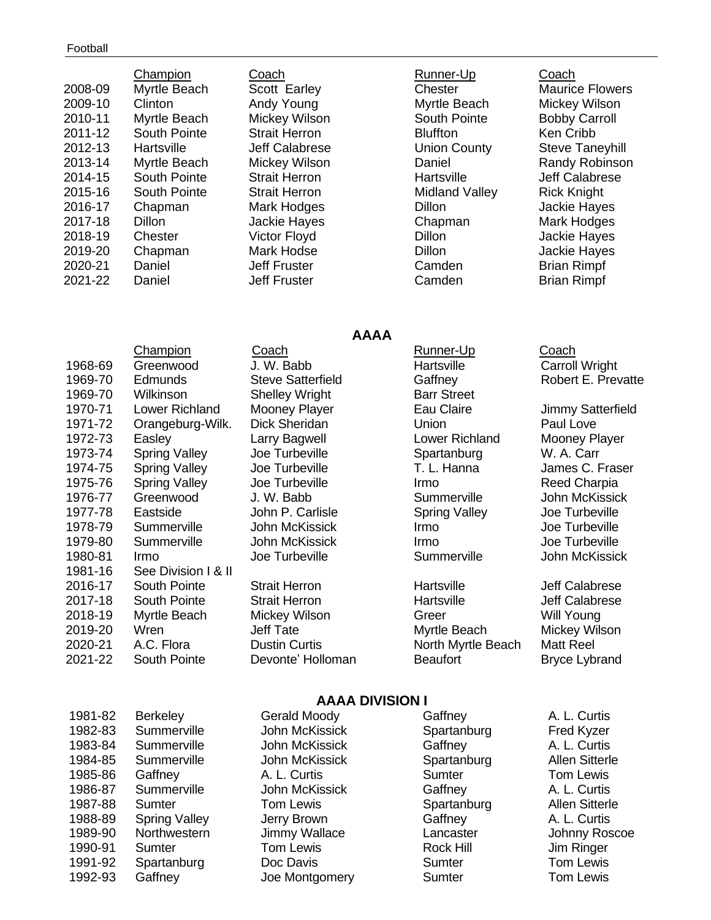| 2008-09<br>2009-10<br>2010-11<br>2011-12<br>2012-13<br>2013-14<br>2014-15<br>2015-16<br>2016-17<br>2017-18<br>2018-19<br>2019-20<br>2020-21 | Champion<br>Myrtle Beach<br>Clinton<br>Myrtle Beach<br>South Pointe<br>Hartsville<br>Myrtle Beach<br>South Pointe<br>South Pointe<br>Chapman<br><b>Dillon</b><br>Chester<br>Chapman<br>Daniel | Coach<br>Scott Earley<br>Andy Young<br>Mickey Wilson<br><b>Strait Herron</b><br>Jeff Calabrese<br>Mickey Wilson<br><b>Strait Herron</b><br><b>Strait Herron</b><br><b>Mark Hodges</b><br>Jackie Hayes<br><b>Victor Floyd</b><br>Mark Hodse<br>Jeff Fruster | Runner-Up<br>Chester<br>Myrtle Beach<br>South Pointe<br><b>Bluffton</b><br><b>Union County</b><br>Daniel<br>Hartsville<br>Midland Valley<br>Dillon<br>Chapman<br>Dillon<br>Dillon<br>Camden | Coach<br><b>Maurice Flowers</b><br>Mickey Wilson<br><b>Bobby Carroll</b><br>Ken Cribb<br><b>Steve Taneyhill</b><br><b>Randy Robinson</b><br>Jeff Calabrese<br><b>Rick Knight</b><br>Jackie Hayes<br>Mark Hodges<br><b>Jackie Hayes</b><br>Jackie Hayes<br><b>Brian Rimpf</b> |
|---------------------------------------------------------------------------------------------------------------------------------------------|-----------------------------------------------------------------------------------------------------------------------------------------------------------------------------------------------|------------------------------------------------------------------------------------------------------------------------------------------------------------------------------------------------------------------------------------------------------------|---------------------------------------------------------------------------------------------------------------------------------------------------------------------------------------------|------------------------------------------------------------------------------------------------------------------------------------------------------------------------------------------------------------------------------------------------------------------------------|
| 2021-22                                                                                                                                     | Daniel                                                                                                                                                                                        | Jeff Fruster                                                                                                                                                                                                                                               | Camden                                                                                                                                                                                      | <b>Brian Rimpf</b>                                                                                                                                                                                                                                                           |
|                                                                                                                                             |                                                                                                                                                                                               |                                                                                                                                                                                                                                                            |                                                                                                                                                                                             |                                                                                                                                                                                                                                                                              |

**AAAA**

### Champion Coach Coach Runner-Up Coach 1968-69 Greenwood J. W. Babb **Hartsville** Carroll Wright 1969-70 Edmunds Steve Satterfield Gaffney Robert E. Prevatte 1969-70 Wilkinson Shelley Wright Barr Street 1970-71 Lower Richland Mooney Player **Eau Claire** Jimmy Satterfield 1971-72 Orangeburg-Wilk. Dick Sheridan Union Paul Love 1972-73 Easley Larry Bagwell Lower Richland Mooney Player 1973-74 Spring Valley Joe Turbeville Spartanburg W. A. Carr 1974-75 Spring Valley Joe Turbeville T. L. Hanna James C. Fraser 1975-76 Spring Valley Joe Turbeville Irmo Irmo Reed Charpia 1976-77 Greenwood J. W. Babb Summerville John McKissick 1977-78 Eastside John P. Carlisle Spring Valley Joe Turbeville 1978-79 Summerville John McKissick Irmo Joe Turbeville 1979-80 Summerville John McKissick Irmo Joe Turbeville 1980-81 Irmo Joe Turbeville Summerville John McKissick 1981-16 See Division I & II 2016-17 South Pointe Strait Herron Hartsville Jeff Calabrese 2017-18 South Pointe Strait Herron **Hartsville** Hartsville Jeff Calabrese 2018-19 Myrtle Beach Mickey Wilson Greer Will Young 2019-20 Wren Jeff Tate Myrtle Beach Mickey Wilson 2020-21 A.C. Flora **Dustin Curtis North Myrtle Beach** Matt Reel 2021-22 South Pointe Devonte' Holloman Beaufort Bryce Lybrand

### **AAAA DIVISION I**

| 1981-82 | <b>Berkeley</b>      | Gerald Moody   | Gaffney     | A. L. Curtis        |
|---------|----------------------|----------------|-------------|---------------------|
| 1982-83 | Summerville          | John McKissick | Spartanburg | <b>Fred Kyzer</b>   |
| 1983-84 | Summerville          | John McKissick | Gaffney     | A. L. Curtis        |
| 1984-85 | Summerville          | John McKissick | Spartanburg | <b>Allen Sitter</b> |
| 1985-86 | Gaffney              | A. L. Curtis   | Sumter      | <b>Tom Lewis</b>    |
| 1986-87 | Summerville          | John McKissick | Gaffney     | A. L. Curtis        |
| 1987-88 | Sumter               | Tom Lewis      | Spartanburg | <b>Allen Sitter</b> |
| 1988-89 | <b>Spring Valley</b> | Jerry Brown    | Gaffney     | A. L. Curtis        |
| 1989-90 | Northwestern         | Jimmy Wallace  | Lancaster   | Johnny Ro           |
| 1990-91 | Sumter               | Tom Lewis      | Rock Hill   | Jim Ringer          |
| 1991-92 | Spartanburg          | Doc Davis      | Sumter      | <b>Tom Lewis</b>    |
| 1992-93 | Gaffney              | Joe Montgomery | Sumter      | <b>Tom Lewis</b>    |

John McKissick Spartanburg Fred Kyzer 1983-84 Summerville John McKissick Gaffney A. L. Curtis John McKissick Spartanburg Allen Sitterle 1986-87 Summerville John McKissick Gaffney A. L. Curtis Tom Lewis **1987-88 Spartanburg** Allen Sitterle 1988-9 Jerry Brown Gaffney Gaffney A. L. Curtis Jimmy Wallace **Lancaster** Lancaster Johnny Roscoe **1992** Joe Montgomery **Sumter** Tom Lewis

1981-92 Gaffney Gaffney A. L. Curtis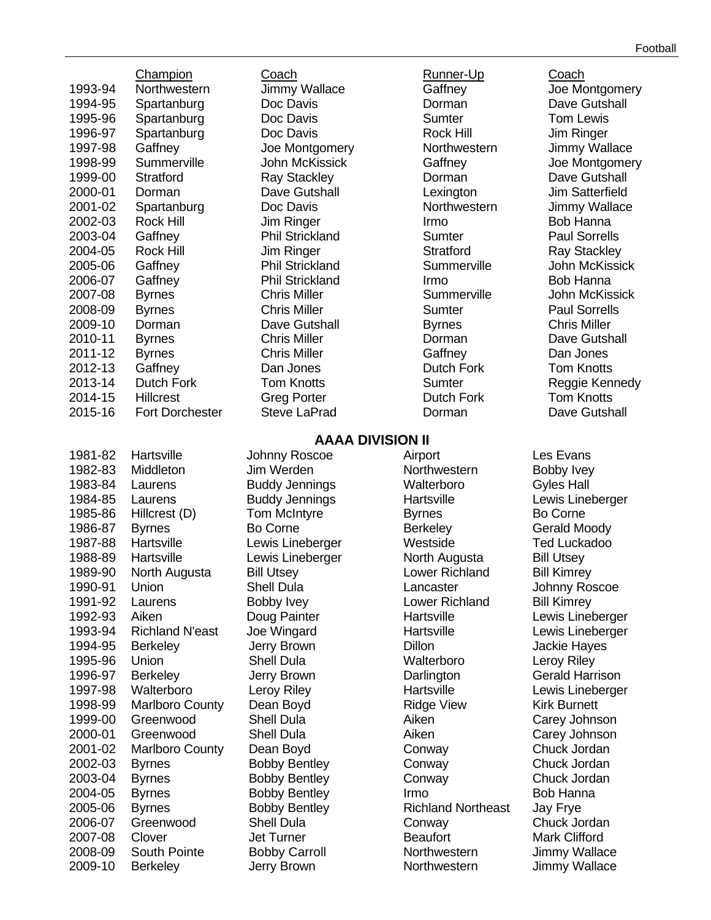|         | Champion               | Coach                           | Runner-Up                 | Coach                  |
|---------|------------------------|---------------------------------|---------------------------|------------------------|
| 1993-94 | Northwestern           | <b>Jimmy Wallace</b>            | Gaffney                   | Joe Montgomery         |
| 1994-95 | Spartanburg            | Doc Davis                       | Dorman                    | Dave Gutshall          |
| 1995-96 | Spartanburg            | Doc Davis                       | <b>Sumter</b>             | <b>Tom Lewis</b>       |
| 1996-97 | Spartanburg            | Doc Davis                       | <b>Rock Hill</b>          | Jim Ringer             |
| 1997-98 | Gaffney                | Joe Montgomery                  | Northwestern              | Jimmy Wallace          |
| 1998-99 | Summerville            | John McKissick                  | Gaffney                   | Joe Montgomery         |
| 1999-00 | Stratford              | <b>Ray Stackley</b>             | Dorman                    | Dave Gutshall          |
| 2000-01 | Dorman                 | Dave Gutshall                   | Lexington                 | <b>Jim Satterfield</b> |
| 2001-02 | Spartanburg            | Doc Davis                       | Northwestern              | Jimmy Wallace          |
| 2002-03 | <b>Rock Hill</b>       | Jim Ringer                      | Irmo                      | Bob Hanna              |
| 2003-04 | Gaffney                | <b>Phil Strickland</b>          | <b>Sumter</b>             | <b>Paul Sorrells</b>   |
| 2004-05 | Rock Hill              | Jim Ringer                      | <b>Stratford</b>          | <b>Ray Stackley</b>    |
|         |                        | <b>Phil Strickland</b>          | Summerville               | <b>John McKissick</b>  |
| 2005-06 | Gaffney                | <b>Phil Strickland</b>          |                           | <b>Bob Hanna</b>       |
| 2006-07 | Gaffney                |                                 | Irmo                      |                        |
| 2007-08 | <b>Byrnes</b>          | <b>Chris Miller</b>             | Summerville               | <b>John McKissick</b>  |
| 2008-09 | <b>Byrnes</b>          | <b>Chris Miller</b>             | Sumter                    | <b>Paul Sorrells</b>   |
| 2009-10 | Dorman                 | Dave Gutshall                   | <b>Byrnes</b>             | <b>Chris Miller</b>    |
| 2010-11 | <b>Byrnes</b>          | <b>Chris Miller</b>             | Dorman                    | Dave Gutshall          |
| 2011-12 | <b>Byrnes</b>          | <b>Chris Miller</b>             | Gaffney                   | Dan Jones              |
| 2012-13 | Gaffney                | Dan Jones                       | <b>Dutch Fork</b>         | <b>Tom Knotts</b>      |
| 2013-14 | <b>Dutch Fork</b>      | <b>Tom Knotts</b>               | Sumter                    | Reggie Kennedy         |
| 2014-15 | <b>Hillcrest</b>       | <b>Greg Porter</b>              | Dutch Fork                | <b>Tom Knotts</b>      |
| 2015-16 | <b>Fort Dorchester</b> | <b>Steve LaPrad</b>             | Dorman                    | Dave Gutshall          |
|         |                        | <b>AAAA DIVISION II</b>         |                           |                        |
| 1981-82 | Hartsville             | <b>Johnny Roscoe</b>            | Airport                   | Les Evans              |
| 1982-83 | Middleton              | Jim Werden                      | Northwestern              | Bobby Ivey             |
| 1983-84 | Laurens                | <b>Buddy Jennings</b>           | Walterboro                | <b>Gyles Hall</b>      |
| 1984-85 | Laurens                | <b>Buddy Jennings</b>           | Hartsville                | Lewis Lineberger       |
|         |                        |                                 |                           | <b>Bo Corne</b>        |
| 1985-86 | Hillcrest (D)          | <b>Tom McIntyre</b><br>Bo Corne | <b>Byrnes</b>             |                        |
| 1986-87 | <b>Byrnes</b>          |                                 | <b>Berkeley</b>           | <b>Gerald Moody</b>    |
| 1987-88 | Hartsville             | Lewis Lineberger                | Westside                  | <b>Ted Luckadoo</b>    |
| 1988-89 | Hartsville             | Lewis Lineberger                | North Augusta             | <b>Bill Utsey</b>      |
| 1989-90 | North Augusta          | <b>Bill Utsey</b>               | Lower Richland            | <b>Bill Kimrey</b>     |
| 1990-91 | Union                  | Shell Dula                      | Lancaster                 | Johnny Roscoe          |
| 1991-92 | Laurens                | <b>Bobby Ivey</b>               | Lower Richland            | <b>Bill Kimrey</b>     |
| 1992-93 | Aiken                  | Doug Painter                    | Hartsville                | Lewis Lineberger       |
| 1993-94 | <b>Richland N'east</b> | Joe Wingard                     | Hartsville                | Lewis Lineberger       |
| 1994-95 | <b>Berkeley</b>        | Jerry Brown                     | Dillon                    | Jackie Hayes           |
| 1995-96 | Union                  | <b>Shell Dula</b>               | Walterboro                | <b>Leroy Riley</b>     |
| 1996-97 | <b>Berkeley</b>        | Jerry Brown                     | Darlington                | <b>Gerald Harrison</b> |
| 1997-98 | Walterboro             | <b>Leroy Riley</b>              | Hartsville                | Lewis Lineberger       |
| 1998-99 | <b>Marlboro County</b> | Dean Boyd                       | <b>Ridge View</b>         | <b>Kirk Burnett</b>    |
| 1999-00 | Greenwood              | <b>Shell Dula</b>               | Aiken                     | Carey Johnson          |
| 2000-01 | Greenwood              | <b>Shell Dula</b>               | Aiken                     | Carey Johnson          |
| 2001-02 | <b>Marlboro County</b> | Dean Boyd                       | Conway                    | Chuck Jordan           |
| 2002-03 | <b>Byrnes</b>          | <b>Bobby Bentley</b>            | Conway                    | Chuck Jordan           |
| 2003-04 | <b>Byrnes</b>          | <b>Bobby Bentley</b>            | Conway                    | Chuck Jordan           |
| 2004-05 | <b>Byrnes</b>          | <b>Bobby Bentley</b>            | Irmo                      | <b>Bob Hanna</b>       |
| 2005-06 | <b>Byrnes</b>          | <b>Bobby Bentley</b>            | <b>Richland Northeast</b> | Jay Frye               |
| 2006-07 | Greenwood              | <b>Shell Dula</b>               | Conway                    | Chuck Jordan           |
| 2007-08 | Clover                 | <b>Jet Turner</b>               | <b>Beaufort</b>           | <b>Mark Clifford</b>   |

2008-09 South Pointe Bobby Carroll Morthwestern Jimmy Wallace 2009-10 Berkeley **Jerry Brown** Morthwestern Jimmy Wallace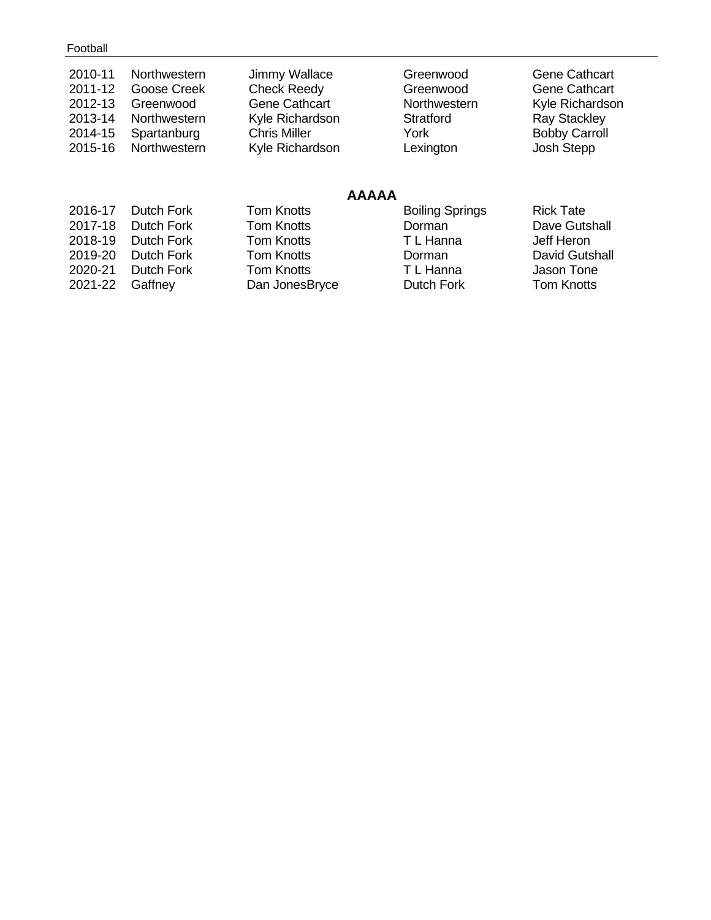| 2010-11<br>2011-12<br>2012-13<br>2013-14<br>2014-15<br>2015-16 | Northwestern<br>Goose Creek<br>Greenwood<br>Northwestern<br>Spartanburg<br>Northwestern | Jimmy Wallace<br><b>Check Reedy</b><br><b>Gene Cathcart</b><br>Kyle Richardson<br><b>Chris Miller</b><br>Kyle Richardson | Greenwood<br>Greenwood<br>Northwestern<br>Stratford<br>York<br>Lexington | <b>Gene Cathcart</b><br><b>Gene Cathcart</b><br>Kyle Richardson<br><b>Ray Stackley</b><br><b>Bobby Carroll</b><br>Josh Stepp |
|----------------------------------------------------------------|-----------------------------------------------------------------------------------------|--------------------------------------------------------------------------------------------------------------------------|--------------------------------------------------------------------------|------------------------------------------------------------------------------------------------------------------------------|
|                                                                |                                                                                         | <b>AAAAA</b>                                                                                                             |                                                                          |                                                                                                                              |
| 2016-17                                                        | <b>Dutch Fork</b>                                                                       | <b>Tom Knotts</b>                                                                                                        | <b>Boiling Springs</b>                                                   | <b>Rick Tate</b>                                                                                                             |
| 2017-18                                                        | Dutch Fork                                                                              | <b>Tom Knotts</b>                                                                                                        | Dorman                                                                   | Dave Gutshall                                                                                                                |
| 2018-19                                                        | Dutch Fork                                                                              | <b>Tom Knotts</b>                                                                                                        | T L Hanna                                                                | Jeff Heron                                                                                                                   |
| 2019-20                                                        | <b>Dutch Fork</b>                                                                       | <b>Tom Knotts</b>                                                                                                        | Dorman                                                                   | <b>David Gutshall</b>                                                                                                        |
| 2020-21                                                        | Dutch Fork                                                                              | <b>Tom Knotts</b>                                                                                                        | T L Hanna                                                                | Jason Tone                                                                                                                   |
| 2021-22                                                        | Gaffney                                                                                 | Dan JonesBryce                                                                                                           | Dutch Fork                                                               | <b>Tom Knotts</b>                                                                                                            |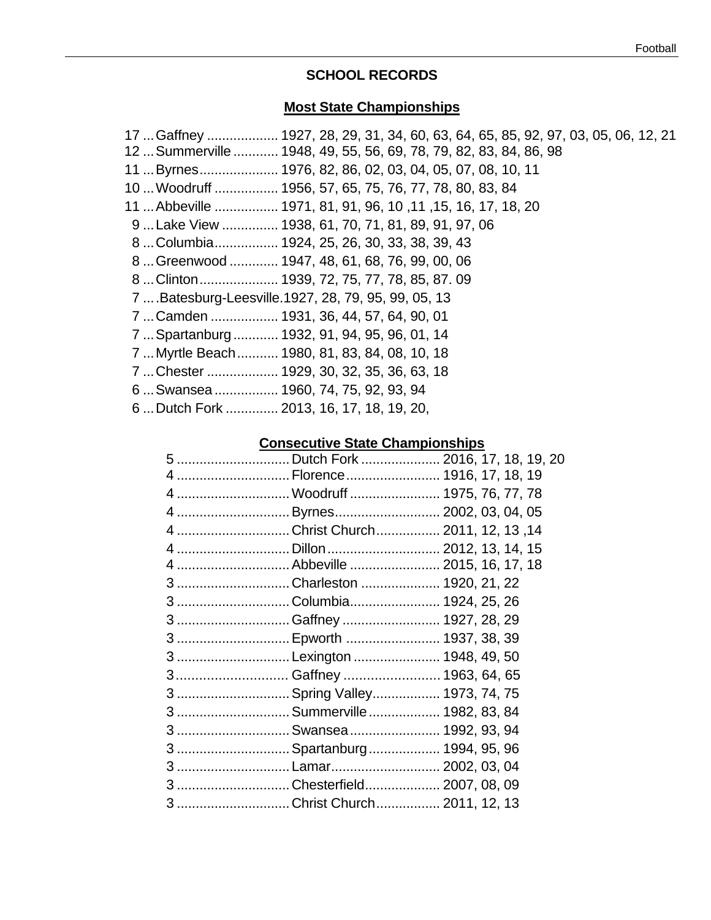# **SCHOOL RECORDS**

# **Most State Championships**

| 17. Gaffney  1927, 28, 29, 31, 34, 60, 63, 64, 65, 85, 92, 97, 03, 05, 06, 12, 21<br>12. Summerville  1948, 49, 55, 56, 69, 78, 79, 82, 83, 84, 86, 98 |
|--------------------------------------------------------------------------------------------------------------------------------------------------------|
| 11  Byrnes 1976, 82, 86, 02, 03, 04, 05, 07, 08, 10, 11                                                                                                |
| 10  Woodruff  1956, 57, 65, 75, 76, 77, 78, 80, 83, 84                                                                                                 |
| 11  Abbeville  1971, 81, 91, 96, 10, 11, 15, 16, 17, 18, 20                                                                                            |
| 9Lake View  1938, 61, 70, 71, 81, 89, 91, 97, 06                                                                                                       |
| 8Columbia 1924, 25, 26, 30, 33, 38, 39, 43                                                                                                             |
| 8. Greenwood  1947, 48, 61, 68, 76, 99, 00, 06                                                                                                         |
| 8. . Clinton 1939, 72, 75, 77, 78, 85, 87. 09                                                                                                          |
| 7  Batesburg-Leesville. 1927, 28, 79, 95, 99, 05, 13                                                                                                   |
| 7  Camden  1931, 36, 44, 57, 64, 90, 01                                                                                                                |
| 7  Spartanburg  1932, 91, 94, 95, 96, 01, 14                                                                                                           |
| 7  Myrtle Beach  1980, 81, 83, 84, 08, 10, 18                                                                                                          |
| 7. Chester  1929, 30, 32, 35, 36, 63, 18                                                                                                               |
| 6 Swansea 1960, 74, 75, 92, 93, 94                                                                                                                     |
| 6Dutch Fork  2013, 16, 17, 18, 19, 20,                                                                                                                 |

# **Consecutive State Championships**

| 5 Dutch Fork  2016, 17, 18, 19, 20 |  |
|------------------------------------|--|
| 4  Florence  1916, 17, 18, 19      |  |
| 4  Woodruff  1975, 76, 77, 78      |  |
| 4 Byrnes 2002, 03, 04, 05          |  |
| 4Christ Church 2011, 12, 13, 14    |  |
|                                    |  |
|                                    |  |
| 3 Charleston  1920, 21, 22         |  |
| 3 Columbia 1924, 25, 26            |  |
| 3 Gaffney  1927, 28, 29            |  |
| 3  Epworth  1937, 38, 39           |  |
| 3 Lexington  1948, 49, 50          |  |
| 3 Gaffney  1963, 64, 65            |  |
| 3  Spring Valley 1973, 74, 75      |  |
| 3  Summerville  1982, 83, 84       |  |
| 3  Swansea  1992, 93, 94           |  |
| 3  Spartanburg  1994, 95, 96       |  |
|                                    |  |
| 3 Chesterfield 2007, 08, 09        |  |
| 3 Christ Church 2011, 12, 13       |  |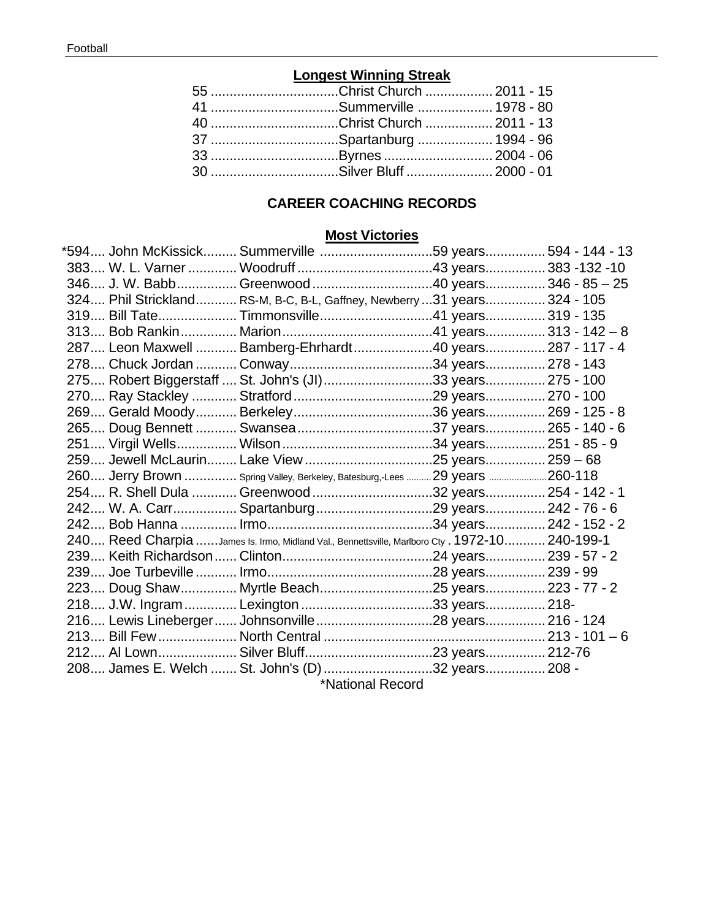# **Longest Winning Streak**

| 55 Christ Church  2011 - 15 |  |
|-----------------------------|--|
| 41 Summerville  1978 - 80   |  |
| 40 Christ Church  2011 - 13 |  |
| 37 Spartanburg  1994 - 96   |  |
| 33 Byrnes  2004 - 06        |  |
| 30 Silver Bluff  2000 - 01  |  |

# **CAREER COACHING RECORDS**

# **Most Victories**

| 594 John McKissick Summerville 59 years 594 - 144 - 13*                                        |                  |  |
|------------------------------------------------------------------------------------------------|------------------|--|
|                                                                                                |                  |  |
|                                                                                                |                  |  |
| 324 Phil Strickland RS-M, B-C, B-L, Gaffney, Newberry 31 years 324 - 105                       |                  |  |
| 319 Bill Tate Timmonsville41 years 319 - 135                                                   |                  |  |
|                                                                                                |                  |  |
| 287 Leon Maxwell  Bamberg-Ehrhardt40 years 287 - 117 - 4                                       |                  |  |
|                                                                                                |                  |  |
| 275 Robert Biggerstaff  St. John's (JI)33 years 275 - 100                                      |                  |  |
|                                                                                                |                  |  |
|                                                                                                |                  |  |
|                                                                                                |                  |  |
|                                                                                                |                  |  |
|                                                                                                |                  |  |
| 260 Jerry Brown  Spring Valley, Berkeley, Batesburg,-Lees  29 years 260-118                    |                  |  |
| 254 R. Shell Dula  Greenwood 32 years 254 - 142 - 1                                            |                  |  |
|                                                                                                |                  |  |
|                                                                                                |                  |  |
| 240 Reed Charpia James Is. Irmo, Midland Val., Bennettsville, Marlboro Cty . 1972-10 240-199-1 |                  |  |
|                                                                                                |                  |  |
|                                                                                                |                  |  |
| 223 Doug Shaw Myrtle Beach25 years 223 - 77 - 2                                                |                  |  |
| 218 J.W. Ingram  Lexington 33 years 218-                                                       |                  |  |
|                                                                                                |                  |  |
|                                                                                                |                  |  |
|                                                                                                |                  |  |
| 208 James E. Welch  St. John's (D) 32 years 208 -                                              |                  |  |
|                                                                                                | *National Pocord |  |

\*National Record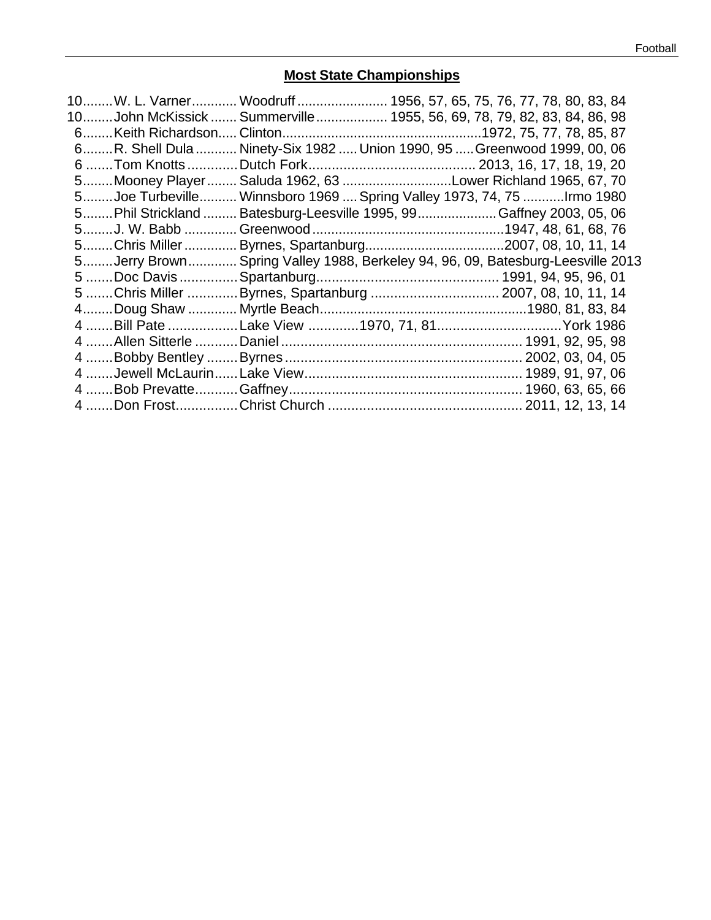# **Most State Championships**

| 10W. L. Varner Woodruff 1956, 57, 65, 75, 76, 77, 78, 80, 83, 84               |
|--------------------------------------------------------------------------------|
| 10John McKissick  Summerville  1955, 56, 69, 78, 79, 82, 83, 84, 86, 98        |
|                                                                                |
| 6R. Shell Dula  Ninety-Six 1982  Union 1990, 95  Greenwood 1999, 00, 06        |
|                                                                                |
| 5Mooney Player Saluda 1962, 63 Lower Richland 1965, 67, 70                     |
| 5Joe Turbeville Winnsboro 1969  Spring Valley 1973, 74, 75 Irmo 1980           |
| 5Phil Strickland  Batesburg-Leesville 1995, 99Gaffney 2003, 05, 06             |
|                                                                                |
|                                                                                |
| 5Jerry Brown Spring Valley 1988, Berkeley 94, 96, 09, Batesburg-Leesville 2013 |
|                                                                                |
| 5 Chris Miller Byrnes, Spartanburg  2007, 08, 10, 11, 14                       |
|                                                                                |
| 4  Bill Pate  Lake View 1970, 71, 81 York 1986                                 |
|                                                                                |
|                                                                                |
|                                                                                |
|                                                                                |
|                                                                                |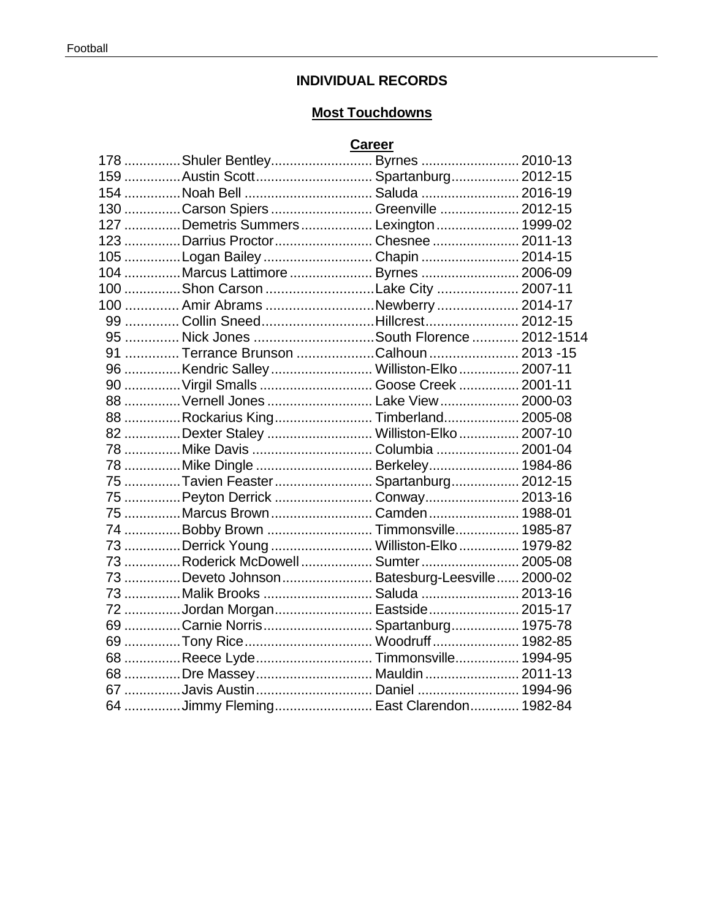# **INDIVIDUAL RECORDS**

# **Most Touchdowns**

# **Career**

|  | 178 Shuler Bentley Byrnes  2010-13              |  |
|--|-------------------------------------------------|--|
|  | 159 Austin Scott Spartanburg 2012-15            |  |
|  |                                                 |  |
|  | 130 Carson Spiers  Greenville  2012-15          |  |
|  | 127 Demetris Summers  Lexington  1999-02        |  |
|  | 123 Darrius ProctorChesnee  2011-13             |  |
|  | 105 Logan Bailey  Chapin  2014-15               |  |
|  | 104 Marcus Lattimore  Byrnes  2006-09           |  |
|  | 100 Shon Carson Lake City  2007-11              |  |
|  | 100  Amir Abrams Newberry  2014-17              |  |
|  | 99  Collin SneedHillcrest 2012-15               |  |
|  | 95  Nick Jones South Florence  2012-1514        |  |
|  | 91  Terrance Brunson Calhoun  2013 -15          |  |
|  | 96 Kendric Salley  Williston-Elko  2007-11      |  |
|  | 90  Virgil Smalls  Goose Creek  2001-11         |  |
|  | 88  Vernell Jones  Lake View  2000-03           |  |
|  | 88 Rockarius KingTimberland 2005-08             |  |
|  | 82 Dexter Staley  Williston-Elko  2007-10       |  |
|  | 78 Mike Davis  Columbia  2001-04                |  |
|  | 78 Mike Dingle  Berkeley 1984-86                |  |
|  | 75 Tavien Feaster  Spartanburg 2012-15          |  |
|  | 75 Peyton Derrick  Conway  2013-16              |  |
|  | 75 Marcus Brown  Camden  1988-01                |  |
|  | 74 Bobby Brown  Timmonsville 1985-87            |  |
|  | 73 Derrick Young  Williston-Elko  1979-82       |  |
|  | 73 Roderick McDowell  Sumter  2005-08           |  |
|  | 73 Deveto Johnson  Batesburg-Leesville  2000-02 |  |
|  | 73 Malik Brooks  Saluda  2013-16                |  |
|  | 72 Jordan Morgan Eastside 2015-17               |  |
|  | 69 Carnie Norris Spartanburg 1975-78            |  |
|  | 69 Tony Rice Woodruff 1982-85                   |  |
|  | 68 Reece Lyde Timmonsville 1994-95              |  |
|  | 68 Dre Massey  Mauldin  2011-13                 |  |
|  | 67 Javis Austin  Daniel  1994-96                |  |
|  | 64 Jimmy Fleming East Clarendon 1982-84         |  |
|  |                                                 |  |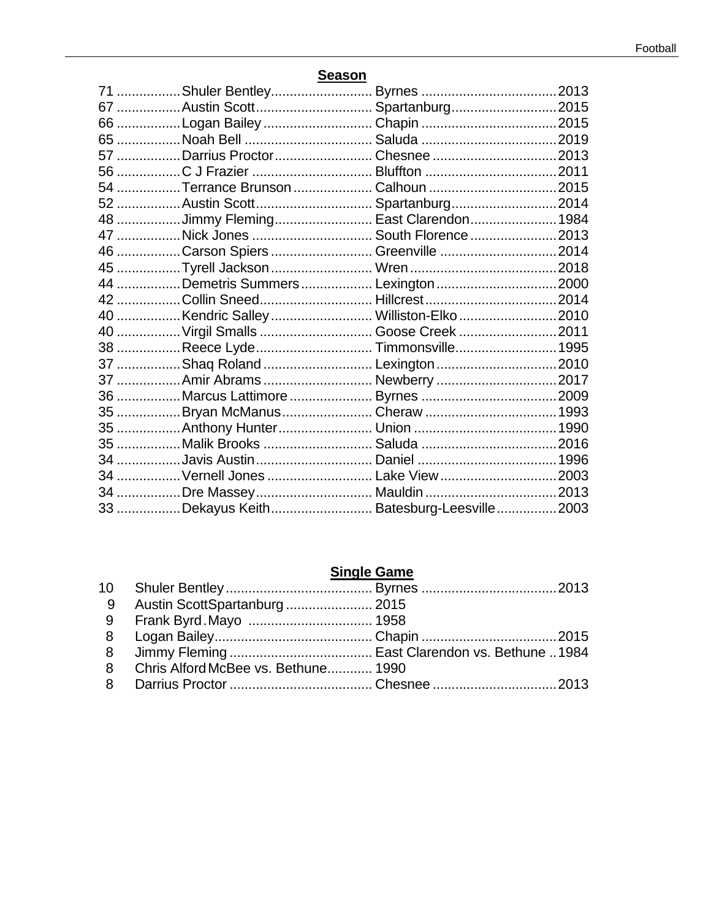| 67 Austin Scott Spartanburg2015          |  |
|------------------------------------------|--|
|                                          |  |
|                                          |  |
|                                          |  |
|                                          |  |
|                                          |  |
| 52 Austin Scott Spartanburg2014          |  |
| 48 Jimmy Fleming East Clarendon 1984     |  |
| 47 Nick Jones  South Florence 2013       |  |
| 46 Carson Spiers  Greenville 2014        |  |
|                                          |  |
| 44 Demetris Summers  Lexington  2000     |  |
| 42 Collin Sneed Hillcrest2014            |  |
| 40 Kendric Salley  Williston-Elko 2010   |  |
| 40  Virgil Smalls  Goose Creek  2011     |  |
| 38 Reece Lyde Timmonsville 1995          |  |
| 37 Shaq Roland  Lexington 2010           |  |
| 37 Amir Abrams  Newberry 2017            |  |
|                                          |  |
| 35 Bryan McManus Cheraw  1993            |  |
|                                          |  |
|                                          |  |
|                                          |  |
| 34  Vernell Jones  Lake View  2003       |  |
|                                          |  |
| 33 Dekayus Keith Batesburg-Leesville2003 |  |

#### **Season**

# **Single Game**

| 9 Austin ScottSpartanburg  2015       |  |
|---------------------------------------|--|
|                                       |  |
|                                       |  |
|                                       |  |
| 8 Chris Alford McBee vs. Bethune 1990 |  |
|                                       |  |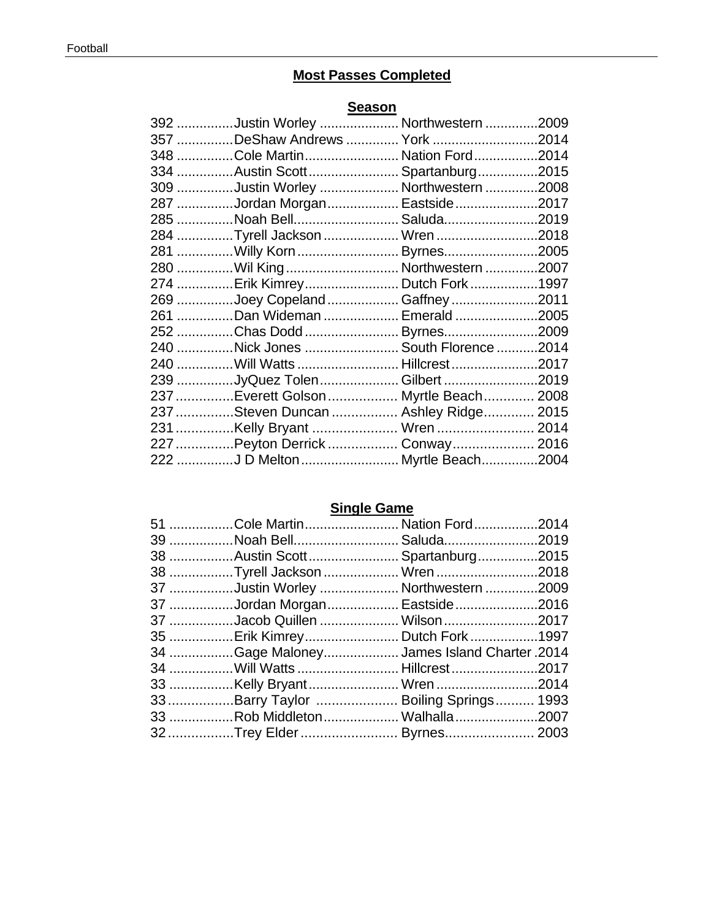# **Most Passes Completed**

# **Season**

| 392 Justin Worley  Northwestern 2009   |  |
|----------------------------------------|--|
| 357 DeShaw Andrews  York 2014          |  |
| 348 Cole Martin Nation Ford2014        |  |
| 334 Austin Scott Spartanburg2015       |  |
| 309 Justin Worley  Northwestern 2008   |  |
| 287 Jordan Morgan Eastside2017         |  |
| 285 Noah Bell Saluda2019               |  |
| 284 Tyrell Jackson  Wren 2018          |  |
| 281 Willy Korn  Byrnes2005             |  |
| 280 Wil King  Northwestern 2007        |  |
| 274 Erik Kimrey Dutch Fork1997         |  |
| 269 Joey Copeland  Gaffney 2011        |  |
| 261 Dan Wideman  Emerald 2005          |  |
| 252 Chas Dodd  Byrnes2009              |  |
| 240 Nick Jones  South Florence 2014    |  |
| 240 Will Watts  Hillcrest 2017         |  |
| 239 JyQuez Tolen Gilbert 2019          |  |
| 237 Everett Golson  Myrtle Beach  2008 |  |
| 237 Steven Duncan  Ashley Ridge 2015   |  |
| 231 Kelly Bryant  Wren  2014           |  |
| 227 Peyton Derrick  Conway  2016       |  |
| 222 J D Melton  Myrtle Beach2004       |  |

# **Single Game**

| 39 Noah Bell Saluda2019<br>38 Austin Scott Spartanburg2015<br>38 Tyrell Jackson  Wren 2018<br>37 Justin Worley  Northwestern 2009<br>37 Jordan Morgan Eastside2016<br>37 Jacob Quillen  Wilson 2017<br>35 Erik Kimrey Dutch Fork1997<br>34 Gage MaloneyJames Island Charter .2014<br>34 Will Watts Hillcrest 2017<br>33Barry Taylor  Boiling Springs 1993<br>33 Rob Middleton  Walhalla 2007<br>32Trey Elder Byrnes 2003 | 51 Cole Martin Nation Ford2014 |  |
|--------------------------------------------------------------------------------------------------------------------------------------------------------------------------------------------------------------------------------------------------------------------------------------------------------------------------------------------------------------------------------------------------------------------------|--------------------------------|--|
|                                                                                                                                                                                                                                                                                                                                                                                                                          |                                |  |
|                                                                                                                                                                                                                                                                                                                                                                                                                          |                                |  |
|                                                                                                                                                                                                                                                                                                                                                                                                                          |                                |  |
|                                                                                                                                                                                                                                                                                                                                                                                                                          |                                |  |
|                                                                                                                                                                                                                                                                                                                                                                                                                          |                                |  |
|                                                                                                                                                                                                                                                                                                                                                                                                                          |                                |  |
|                                                                                                                                                                                                                                                                                                                                                                                                                          |                                |  |
|                                                                                                                                                                                                                                                                                                                                                                                                                          |                                |  |
|                                                                                                                                                                                                                                                                                                                                                                                                                          |                                |  |
|                                                                                                                                                                                                                                                                                                                                                                                                                          |                                |  |
|                                                                                                                                                                                                                                                                                                                                                                                                                          |                                |  |
|                                                                                                                                                                                                                                                                                                                                                                                                                          |                                |  |
|                                                                                                                                                                                                                                                                                                                                                                                                                          |                                |  |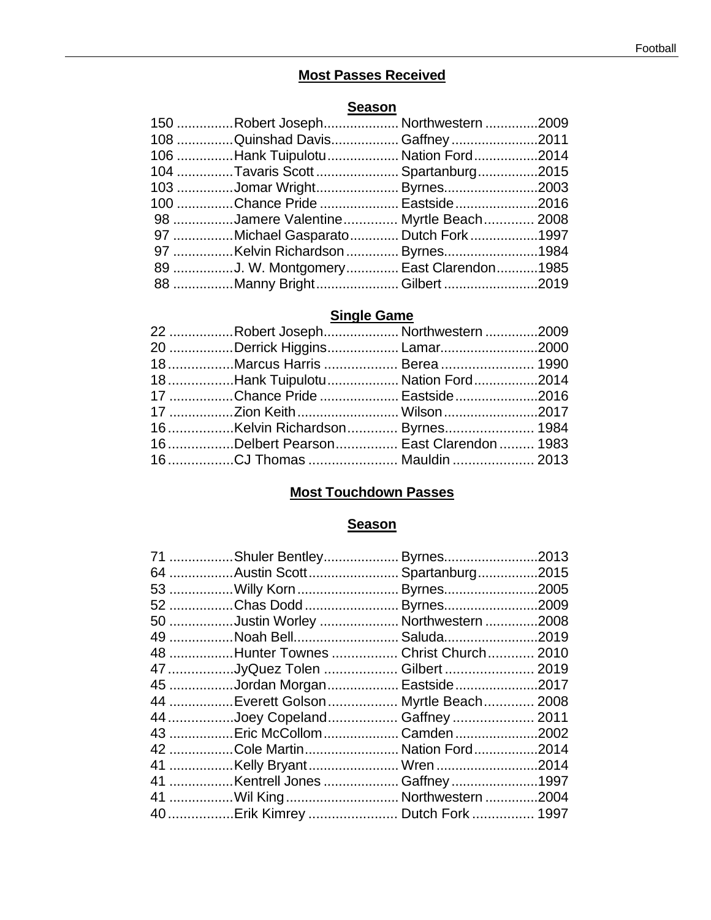# **Most Passes Received**

# **Season**

| 108 Quinshad Davis Gaffney 2011<br>106 Hank Tuipulotu  Nation Ford 2014 | 150 Robert Joseph Northwestern 2009 |
|-------------------------------------------------------------------------|-------------------------------------|
|                                                                         |                                     |
|                                                                         |                                     |
| 104 Tavaris Scott  Spartanburg2015                                      |                                     |
| 103 Jomar Wright Byrnes2003                                             |                                     |
| 100 Chance Pride  Eastside 2016                                         |                                     |
| 98 Jamere Valentine Myrtle Beach 2008                                   |                                     |
| 97 Michael Gasparato Dutch Fork1997                                     |                                     |
| 97 Kelvin Richardson  Byrnes1984                                        |                                     |
| 89 J. W. Montgomery East Clarendon1985                                  |                                     |
| 88 Manny BrightGilbert 2019                                             |                                     |

# **Single Game**

| 22 Robert JosephNorthwestern 2009     |  |
|---------------------------------------|--|
| 20 Derrick Higgins Lamar2000          |  |
| 18Marcus Harris  Berea  1990          |  |
| 18Hank Tuipulotu Nation Ford2014      |  |
| 17 Chance Pride  Eastside2016         |  |
| 17 Zion Keith  Wilson 2017            |  |
|                                       |  |
| 16Delbert Pearson East Clarendon 1983 |  |
| 16CJ Thomas  Mauldin  2013            |  |

# **Most Touchdown Passes**

# **Season**

| 71 Shuler Bentley Byrnes2013          |  |
|---------------------------------------|--|
| 64 Austin Scott Spartanburg2015       |  |
| 53 Willy Korn  Byrnes2005             |  |
| 52 Chas Dodd  Byrnes2009              |  |
| 50 Justin Worley  Northwestern 2008   |  |
| 49 Noah Bell Saluda2019               |  |
| 48 Hunter Townes  Christ Church 2010  |  |
| 47 JyQuez Tolen  Gilbert  2019        |  |
| 45 Jordan Morgan Eastside2017         |  |
| 44 Everett Golson  Myrtle Beach  2008 |  |
| 44 Joey Copeland Gaffney  2011        |  |
| 43  Eric McCollom  Camden 2002        |  |
| 42 Cole Martin Nation Ford2014        |  |
| 41 Kelly Bryant Wren 2014             |  |
| 41 Kentrell Jones Gaffney 1997        |  |
| 41 Wil King  Northwestern 2004        |  |
| 40 Erik Kimrey  Dutch Fork  1997      |  |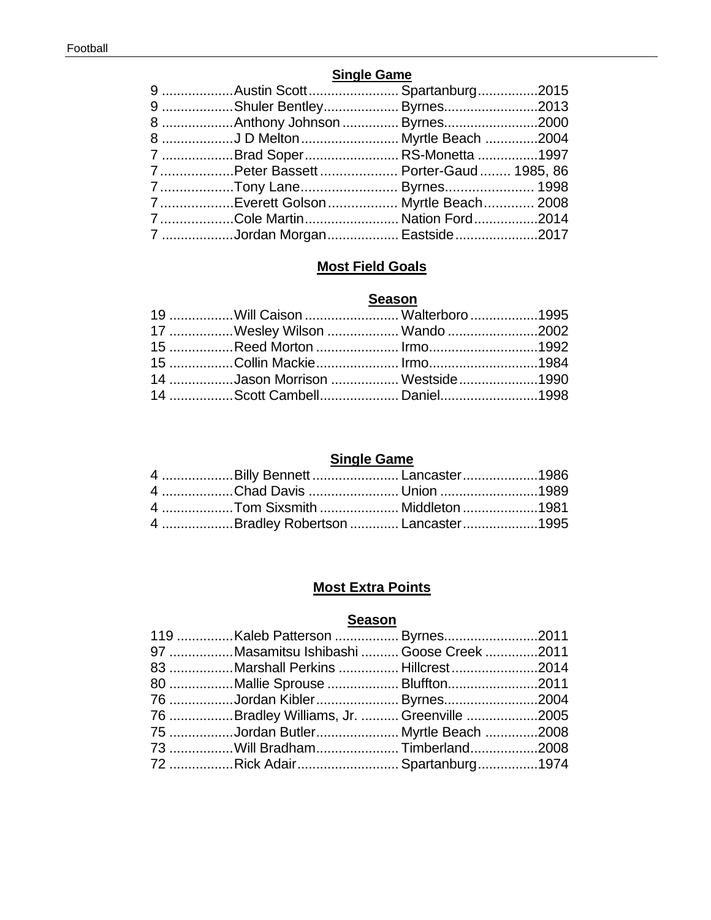### **Single Game**

| 9 Austin ScottSpartanburg2015         |  |
|---------------------------------------|--|
| 9 Shuler Bentley Byrnes2013           |  |
| 8 Anthony Johnson  Byrnes2000         |  |
|                                       |  |
| 7 Brad SoperRS-Monetta 1997           |  |
| 7Peter Bassett  Porter-Gaud  1985, 86 |  |
|                                       |  |
| 7Everett Golson Myrtle Beach 2008     |  |
| 7Cole MartinNation Ford2014           |  |
| 7 Jordan Morgan Eastside2017          |  |

# **Most Field Goals**

# **Season**

| 19  Will Caison  Walterboro 1995 |  |
|----------------------------------|--|
| 17 Wesley Wilson  Wando 2002     |  |
| 15 Reed Morton  Irmo1992         |  |
| 15 Collin Mackie Irmo1984        |  |
| 14 Jason Morrison  Westside1990  |  |
| 14 Scott Cambell Daniel1998      |  |

# **Single Game**

| 4 Billy Bennett  Lancaster 1986     |  |
|-------------------------------------|--|
| 4 Chad Davis  Union 1989            |  |
|                                     |  |
| 4 Bradley Robertson  Lancaster 1995 |  |

# **Most Extra Points**

### **Season**

| 119 Kaleb Patterson  Byrnes2011           |  |
|-------------------------------------------|--|
| 97 Masamitsu Ishibashi  Goose Creek 2011  |  |
| 83 Marshall Perkins  Hillcrest 2014       |  |
| 80 Mallie Sprouse  Bluffton2011           |  |
| 76 Jordan Kibler  Byrnes2004              |  |
| 76 Bradley Williams, Jr.  Greenville 2005 |  |
| 75 Jordan Butler Myrtle Beach 2008        |  |
| 73 Will BradhamTimberland2008             |  |
| 72 Rick Adair Spartanburg1974             |  |
|                                           |  |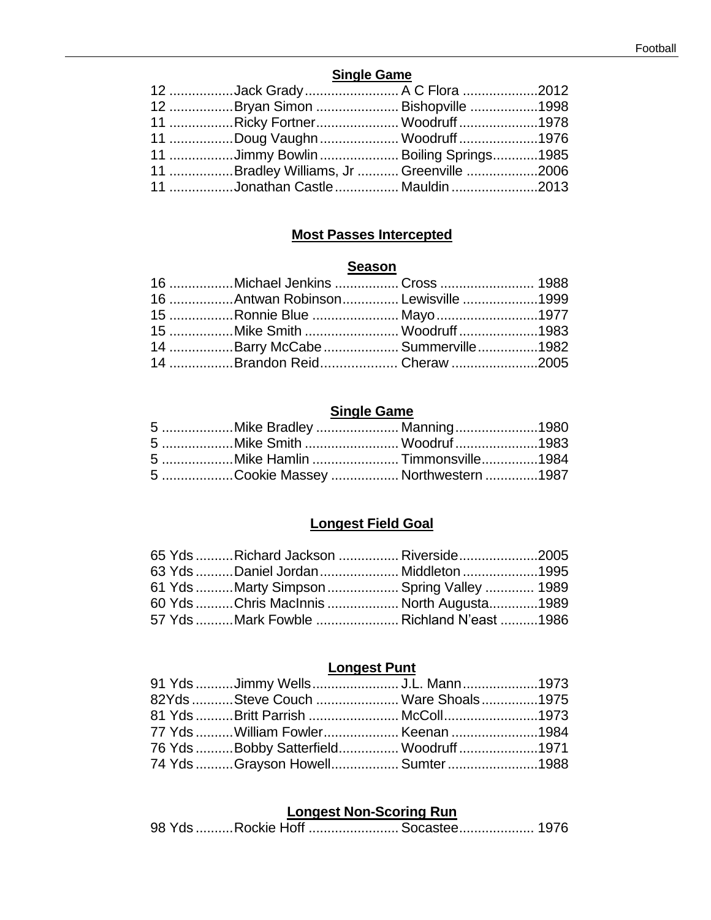### **Single Game**

| 12 Jack Grady  A C Flora 2012            |  |
|------------------------------------------|--|
| 12 Bryan Simon  Bishopville 1998         |  |
| 11 Ricky Fortner Woodruff1978            |  |
| 11 Doug Vaughn  Woodruff 1976            |  |
| 11 Jimmy Bowlin  Boiling Springs1985     |  |
| 11 Bradley Williams, Jr  Greenville 2006 |  |
| 11 Jonathan Castle  Mauldin 2013         |  |

# **Most Passes Intercepted**

# **Season**

| 16 Michael Jenkins  Cross  1988    |  |
|------------------------------------|--|
| 16 Antwan Robinson Lewisville 1999 |  |
| 15 Ronnie Blue Mayo 1977           |  |
| 15 Mike Smith  Woodruff 1983       |  |
| 14 Barry McCabe  Summerville 1982  |  |
| 14 Brandon Reid Cheraw 2005        |  |

# **Single Game**

| 5 Mike Smith  Woodruf 1983         |  |
|------------------------------------|--|
| 5 Mike Hamlin Timmonsville1984     |  |
| 5 Cookie Massey  Northwestern 1987 |  |

# **Longest Field Goal**

|  | 65 Yds Richard Jackson  Riverside2005     |  |
|--|-------------------------------------------|--|
|  | 63 Yds Daniel Jordan  Middleton 1995      |  |
|  | 61 Yds Marty Simpson  Spring Valley  1989 |  |
|  | 60 Yds Chris MacInnis  North Augusta1989  |  |
|  | 57 Yds Mark Fowble  Richland N'east 1986  |  |

# **Longest Punt**

| 91 Yds Jimmy Wells  J.L. Mann 1973     |  |
|----------------------------------------|--|
| 82Yds Steve Couch  Ware Shoals 1975    |  |
| 81 Yds Britt Parrish  McColl1973       |  |
| 77 Yds  William Fowler Keenan 1984     |  |
| 76 Yds Bobby Satterfield Woodruff 1971 |  |
| 74 Yds Grayson Howell Sumter 1988      |  |

# **Longest Non-Scoring Run**

| 98 Yds Rockie Hoff  Socastee 1976 |
|-----------------------------------|
|-----------------------------------|